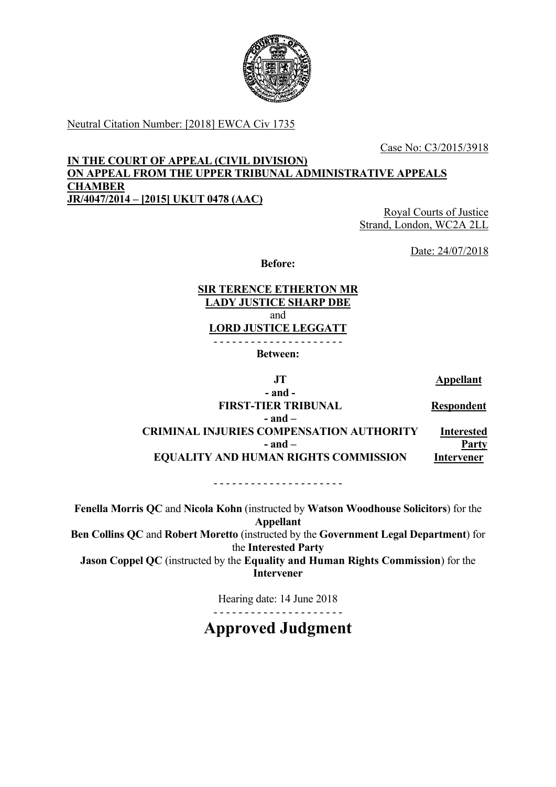

Neutral Citation Number: [2018] EWCA Civ 1735

Case No: C3/2015/3918

### **IN THE COURT OF APPEAL (CIVIL DIVISION) ON APPEAL FROM THE UPPER TRIBUNAL ADMINISTRATIVE APPEALS CHAMBER JR/4047/2014 – [2015] UKUT 0478 (AAC)**

Royal Courts of Justice Strand, London, WC2A 2LL

Date: 24/07/2018

**Before:** 

### **SIR TERENCE ETHERTON MR LADY JUSTICE SHARP DBE**  and **LORD JUSTICE LEGGATT**

- - - - - - - - - - - - - - - - - - - - -

**Between:** 

**JT Appellant** 

**- and - FIRST-TIER TRIBUNAL Respondent - and – CRIMINAL INJURIES COMPENSATION AUTHORITY Interested - and – Party EQUALITY AND HUMAN RIGHTS COMMISSION Intervener** 

- - - - - - - - - - - - - - - - - - - - -

**Fenella Morris QC** and **Nicola Kohn** (instructed by **Watson Woodhouse Solicitors**) for the **Appellant Ben Collins QC** and **Robert Moretto** (instructed by the **Government Legal Department**) for the **Interested Party Jason Coppel QC** (instructed by the **Equality and Human Rights Commission**) for the **Intervener**

Hearing date: 14 June 2018

- - - - - - - - - - - - - - - - - - - - -

**Approved Judgment**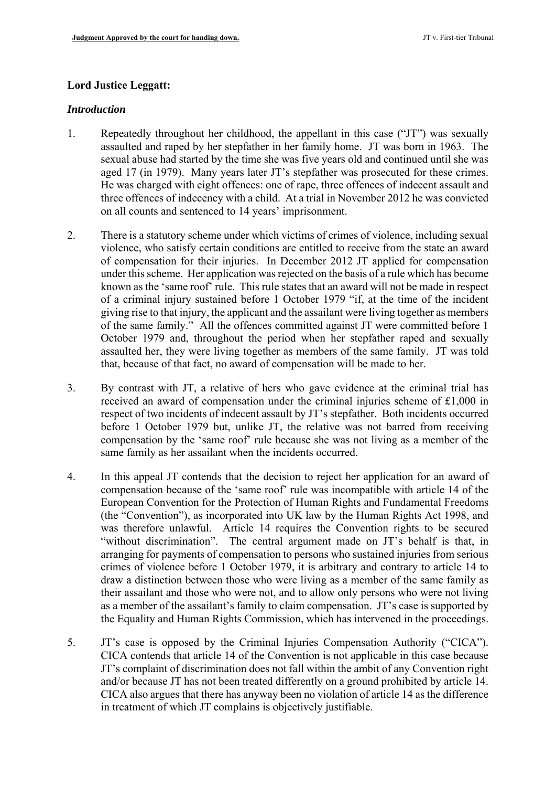### **Lord Justice Leggatt:**

#### *Introduction*

- assaulted and raped by her stepfather in her family home. JT was born in 1963. The three offences of indecency with a child. At a trial in November 2012 he was convicted 1. Repeatedly throughout her childhood, the appellant in this case ("JT") was sexually sexual abuse had started by the time she was five years old and continued until she was aged 17 (in 1979). Many years later JT's stepfather was prosecuted for these crimes. He was charged with eight offences: one of rape, three offences of indecent assault and on all counts and sentenced to 14 years' imprisonment.
- known as the 'same roof' rule. This rule states that an award will not be made in respect assaulted her, they were living together as members of the same family. JT was told 2. There is a statutory scheme under which victims of crimes of violence, including sexual violence, who satisfy certain conditions are entitled to receive from the state an award of compensation for their injuries. In December 2012 JT applied for compensation under this scheme. Her application was rejected on the basis of a rule which has become of a criminal injury sustained before 1 October 1979 "if, at the time of the incident giving rise to that injury, the applicant and the assailant were living together as members of the same family." All the offences committed against JT were committed before 1 October 1979 and, throughout the period when her stepfather raped and sexually that, because of that fact, no award of compensation will be made to her.
- compensation by the 'same roof' rule because she was not living as a member of the 3. By contrast with JT, a relative of hers who gave evidence at the criminal trial has received an award of compensation under the criminal injuries scheme of £1,000 in respect of two incidents of indecent assault by JT's stepfather. Both incidents occurred before 1 October 1979 but, unlike JT, the relative was not barred from receiving same family as her assailant when the incidents occurred.
- 4. In this appeal JT contends that the decision to reject her application for an award of compensation because of the 'same roof' rule was incompatible with article 14 of the European Convention for the Protection of Human Rights and Fundamental Freedoms (the "Convention"), as incorporated into UK law by the Human Rights Act 1998, and was therefore unlawful. Article 14 requires the Convention rights to be secured "without discrimination". The central argument made on JT's behalf is that, in arranging for payments of compensation to persons who sustained injuries from serious crimes of violence before 1 October 1979, it is arbitrary and contrary to article 14 to draw a distinction between those who were living as a member of the same family as their assailant and those who were not, and to allow only persons who were not living as a member of the assailant's family to claim compensation. JT's case is supported by the Equality and Human Rights Commission, which has intervened in the proceedings.
- 5. JT's case is opposed by the Criminal Injuries Compensation Authority ("CICA"). CICA contends that article 14 of the Convention is not applicable in this case because JT's complaint of discrimination does not fall within the ambit of any Convention right and/or because JT has not been treated differently on a ground prohibited by article 14. CICA also argues that there has anyway been no violation of article 14 as the difference in treatment of which JT complains is objectively justifiable.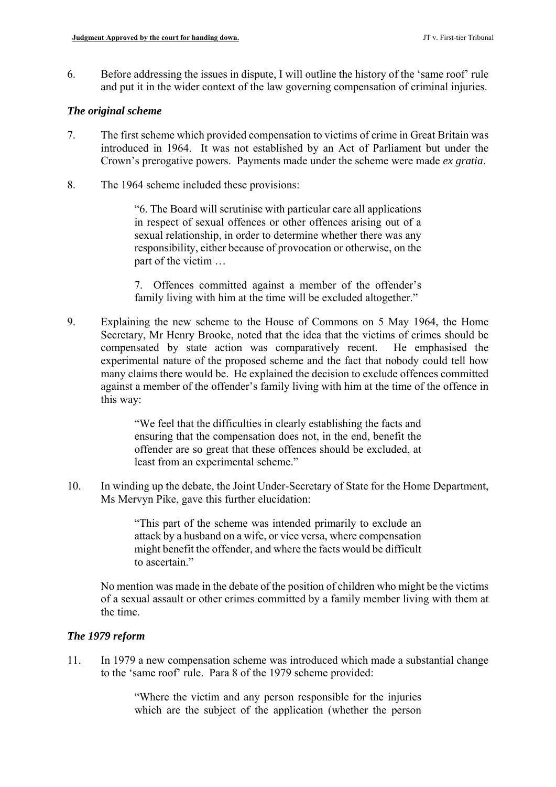6. Before addressing the issues in dispute, I will outline the history of the 'same roof' rule and put it in the wider context of the law governing compensation of criminal injuries.

### *The original scheme*

- 7. The first scheme which provided compensation to victims of crime in Great Britain was introduced in 1964. It was not established by an Act of Parliament but under the Crown's prerogative powers. Payments made under the scheme were made *ex gratia*.
- 8. The 1964 scheme included these provisions:

"6. The Board will scrutinise with particular care all applications in respect of sexual offences or other offences arising out of a sexual relationship, in order to determine whether there was any responsibility, either because of provocation or otherwise, on the part of the victim …

7. Offences committed against a member of the offender's family living with him at the time will be excluded altogether."

9. Explaining the new scheme to the House of Commons on 5 May 1964, the Home Secretary, Mr Henry Brooke, noted that the idea that the victims of crimes should be compensated by state action was comparatively recent. He emphasised the experimental nature of the proposed scheme and the fact that nobody could tell how many claims there would be. He explained the decision to exclude offences committed against a member of the offender's family living with him at the time of the offence in this way:

> "We feel that the difficulties in clearly establishing the facts and ensuring that the compensation does not, in the end, benefit the offender are so great that these offences should be excluded, at least from an experimental scheme."

10. In winding up the debate, the Joint Under-Secretary of State for the Home Department, Ms Mervyn Pike, gave this further elucidation:

> "This part of the scheme was intended primarily to exclude an attack by a husband on a wife, or vice versa, where compensation might benefit the offender, and where the facts would be difficult to ascertain."

 of a sexual assault or other crimes committed by a family member living with them at No mention was made in the debate of the position of children who might be the victims the time.

# *The 1979 reform*

11. In 1979 a new compensation scheme was introduced which made a substantial change to the 'same roof' rule. Para 8 of the 1979 scheme provided:

> "Where the victim and any person responsible for the injuries which are the subject of the application (whether the person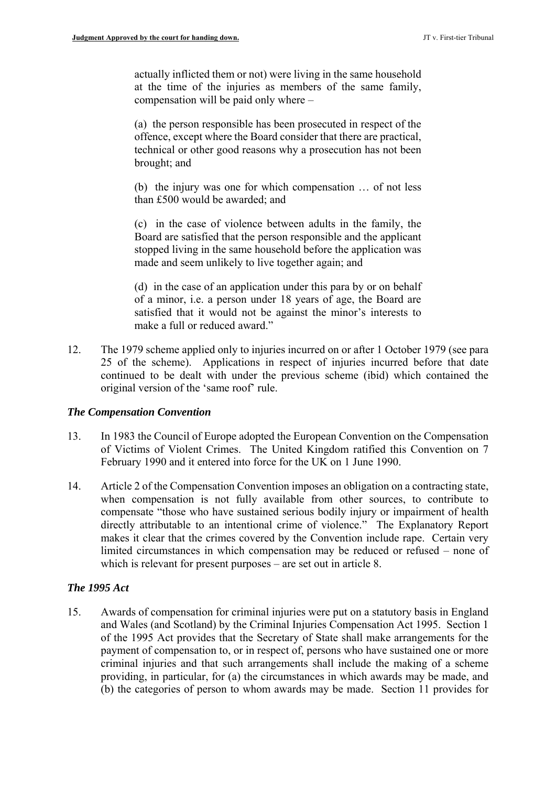actually inflicted them or not) were living in the same household at the time of the injuries as members of the same family, compensation will be paid only where –

(a) the person responsible has been prosecuted in respect of the offence, except where the Board consider that there are practical, technical or other good reasons why a prosecution has not been brought; and

(b) the injury was one for which compensation … of not less than £500 would be awarded; and

(c) in the case of violence between adults in the family, the Board are satisfied that the person responsible and the applicant stopped living in the same household before the application was made and seem unlikely to live together again; and

(d) in the case of an application under this para by or on behalf of a minor, i.e. a person under 18 years of age, the Board are satisfied that it would not be against the minor's interests to make a full or reduced award."

12. The 1979 scheme applied only to injuries incurred on or after 1 October 1979 (see para 25 of the scheme). Applications in respect of injuries incurred before that date continued to be dealt with under the previous scheme (ibid) which contained the original version of the 'same roof' rule.

#### *The Compensation Convention*

- 13. In 1983 the Council of Europe adopted the European Convention on the Compensation of Victims of Violent Crimes. The United Kingdom ratified this Convention on 7 February 1990 and it entered into force for the UK on 1 June 1990.
- directly attributable to an intentional crime of violence." The Explanatory Report 14. Article 2 of the Compensation Convention imposes an obligation on a contracting state, when compensation is not fully available from other sources, to contribute to compensate "those who have sustained serious bodily injury or impairment of health makes it clear that the crimes covered by the Convention include rape. Certain very limited circumstances in which compensation may be reduced or refused – none of which is relevant for present purposes – are set out in article 8.

# *The 1995 Act*

15. Awards of compensation for criminal injuries were put on a statutory basis in England and Wales (and Scotland) by the Criminal Injuries Compensation Act 1995. Section 1 of the 1995 Act provides that the Secretary of State shall make arrangements for the payment of compensation to, or in respect of, persons who have sustained one or more criminal injuries and that such arrangements shall include the making of a scheme providing, in particular, for (a) the circumstances in which awards may be made, and (b) the categories of person to whom awards may be made. Section 11 provides for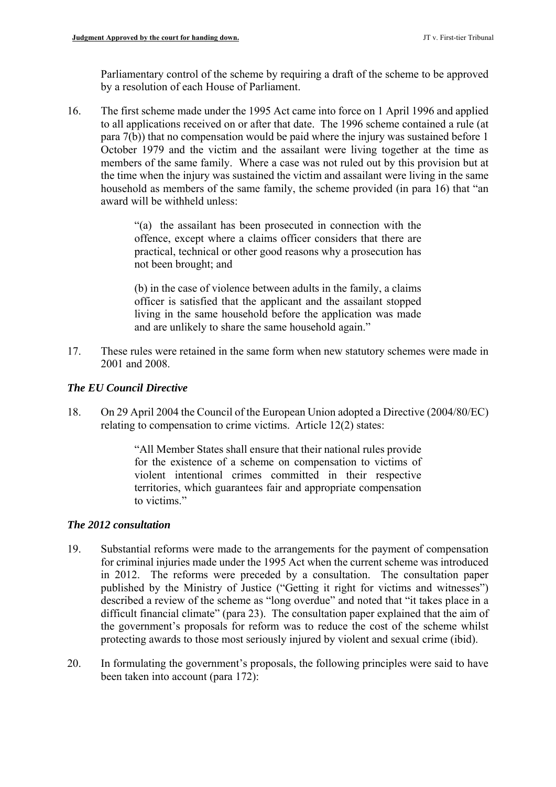Parliamentary control of the scheme by requiring a draft of the scheme to be approved by a resolution of each House of Parliament.

 members of the same family. Where a case was not ruled out by this provision but at 16. The first scheme made under the 1995 Act came into force on 1 April 1996 and applied to all applications received on or after that date. The 1996 scheme contained a rule (at para 7(b)) that no compensation would be paid where the injury was sustained before 1 October 1979 and the victim and the assailant were living together at the time as the time when the injury was sustained the victim and assailant were living in the same household as members of the same family, the scheme provided (in para 16) that "an award will be withheld unless:

> "(a) the assailant has been prosecuted in connection with the offence, except where a claims officer considers that there are practical, technical or other good reasons why a prosecution has not been brought; and

> (b) in the case of violence between adults in the family, a claims officer is satisfied that the applicant and the assailant stopped living in the same household before the application was made and are unlikely to share the same household again."

17. These rules were retained in the same form when new statutory schemes were made in 2001 and 2008.

# *The EU Council Directive*

18. On 29 April 2004 the Council of the European Union adopted a Directive (2004/80/EC) relating to compensation to crime victims. Article 12(2) states:

> "All Member States shall ensure that their national rules provide for the existence of a scheme on compensation to victims of violent intentional crimes committed in their respective territories, which guarantees fair and appropriate compensation to victims."

# *The 2012 consultation*

- 19. Substantial reforms were made to the arrangements for the payment of compensation for criminal injuries made under the 1995 Act when the current scheme was introduced in 2012. The reforms were preceded by a consultation. The consultation paper published by the Ministry of Justice ("Getting it right for victims and witnesses") described a review of the scheme as "long overdue" and noted that "it takes place in a difficult financial climate" (para 23). The consultation paper explained that the aim of the government's proposals for reform was to reduce the cost of the scheme whilst protecting awards to those most seriously injured by violent and sexual crime (ibid).
- 20. In formulating the government's proposals, the following principles were said to have been taken into account (para 172):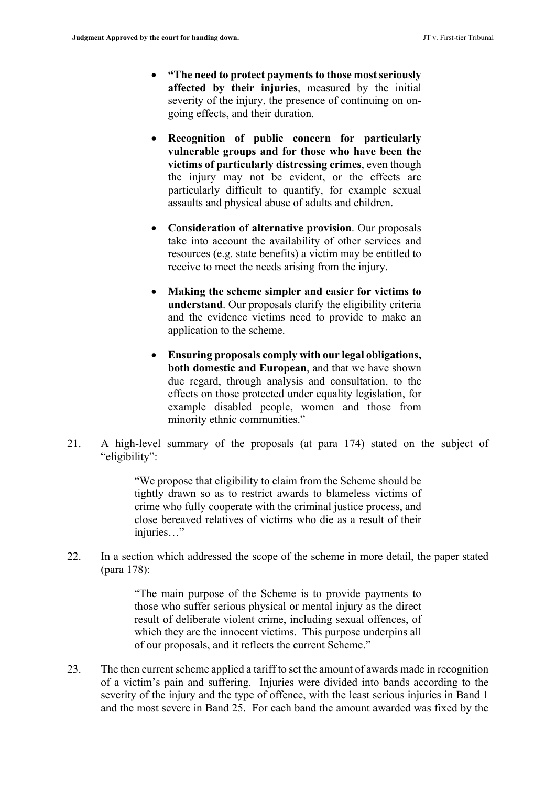- **"The need to protect payments to those most seriously affected by their injuries**, measured by the initial severity of the injury, the presence of continuing on ongoing effects, and their duration.
- particularly difficult to quantify, for example sexual **Recognition of public concern for particularly vulnerable groups and for those who have been the victims of particularly distressing crimes**, even though the injury may not be evident, or the effects are assaults and physical abuse of adults and children.
- **Consideration of alternative provision**. Our proposals take into account the availability of other services and resources (e.g. state benefits) a victim may be entitled to receive to meet the needs arising from the injury.
- **Making the scheme simpler and easier for victims to understand**. Our proposals clarify the eligibility criteria and the evidence victims need to provide to make an application to the scheme.
- **Ensuring proposals comply with our legal obligations, both domestic and European**, and that we have shown due regard, through analysis and consultation, to the effects on those protected under equality legislation, for example disabled people, women and those from minority ethnic communities."
- 21. A high-level summary of the proposals (at para 174) stated on the subject of "eligibility":

 "We propose that eligibility to claim from the Scheme should be tightly drawn so as to restrict awards to blameless victims of crime who fully cooperate with the criminal justice process, and close bereaved relatives of victims who die as a result of their injuries…"

22. In a section which addressed the scope of the scheme in more detail, the paper stated (para 178):

> "The main purpose of the Scheme is to provide payments to those who suffer serious physical or mental injury as the direct result of deliberate violent crime, including sexual offences, of which they are the innocent victims. This purpose underpins all of our proposals, and it reflects the current Scheme."

 of a victim's pain and suffering. Injuries were divided into bands according to the severity of the injury and the type of offence, with the least serious injuries in Band 1 and the most severe in Band 25. For each band the amount awarded was fixed by the 23. The then current scheme applied a tariff to set the amount of awards made in recognition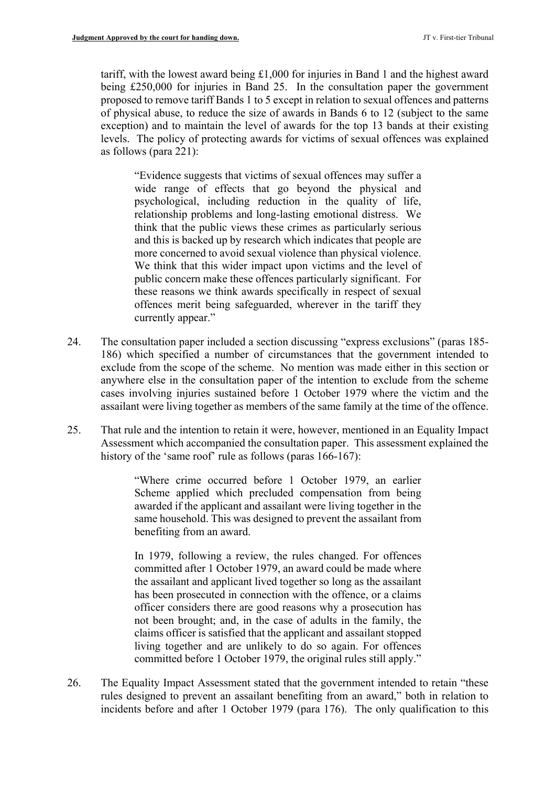tariff, with the lowest award being £1,000 for injuries in Band 1 and the highest award being £250,000 for injuries in Band 25. In the consultation paper the government proposed to remove tariff Bands 1 to 5 except in relation to sexual offences and patterns of physical abuse, to reduce the size of awards in Bands 6 to 12 (subject to the same exception) and to maintain the level of awards for the top 13 bands at their existing levels. The policy of protecting awards for victims of sexual offences was explained as follows (para 221):

 relationship problems and long-lasting emotional distress. We more concerned to avoid sexual violence than physical violence. "Evidence suggests that victims of sexual offences may suffer a wide range of effects that go beyond the physical and psychological, including reduction in the quality of life, think that the public views these crimes as particularly serious and this is backed up by research which indicates that people are We think that this wider impact upon victims and the level of public concern make these offences particularly significant. For these reasons we think awards specifically in respect of sexual offences merit being safeguarded, wherever in the tariff they currently appear."

- exclude from the scope of the scheme. No mention was made either in this section or anywhere else in the consultation paper of the intention to exclude from the scheme 24. The consultation paper included a section discussing "express exclusions" (paras 185-186) which specified a number of circumstances that the government intended to cases involving injuries sustained before 1 October 1979 where the victim and the assailant were living together as members of the same family at the time of the offence.
- 25. That rule and the intention to retain it were, however, mentioned in an Equality Impact Assessment which accompanied the consultation paper. This assessment explained the history of the 'same roof' rule as follows (paras 166-167):

"Where crime occurred before 1 October 1979, an earlier Scheme applied which precluded compensation from being awarded if the applicant and assailant were living together in the same household. This was designed to prevent the assailant from benefiting from an award.

In 1979, following a review, the rules changed. For offences committed after 1 October 1979, an award could be made where the assailant and applicant lived together so long as the assailant has been prosecuted in connection with the offence, or a claims officer considers there are good reasons why a prosecution has not been brought; and, in the case of adults in the family, the claims officer is satisfied that the applicant and assailant stopped living together and are unlikely to do so again. For offences committed before 1 October 1979, the original rules still apply."

26. The Equality Impact Assessment stated that the government intended to retain "these rules designed to prevent an assailant benefiting from an award," both in relation to incidents before and after 1 October 1979 (para 176). The only qualification to this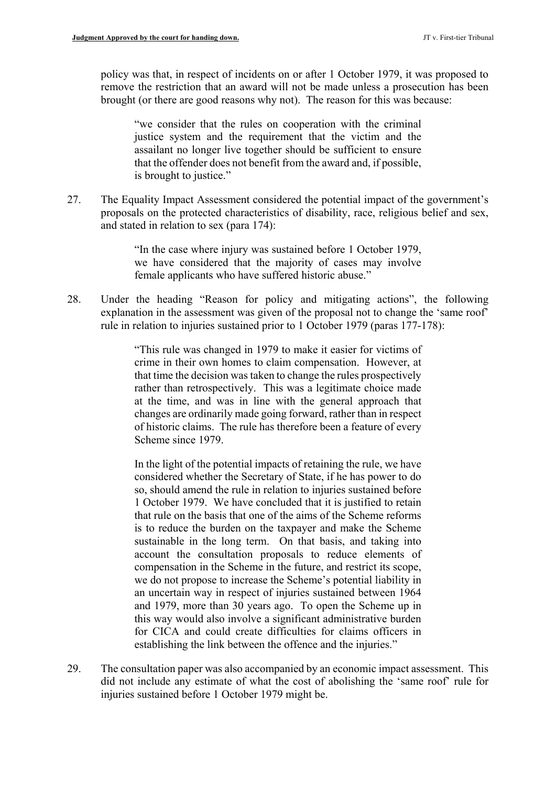policy was that, in respect of incidents on or after 1 October 1979, it was proposed to remove the restriction that an award will not be made unless a prosecution has been brought (or there are good reasons why not). The reason for this was because:

 "we consider that the rules on cooperation with the criminal justice system and the requirement that the victim and the assailant no longer live together should be sufficient to ensure that the offender does not benefit from the award and, if possible, is brought to justice."

27. The Equality Impact Assessment considered the potential impact of the government's proposals on the protected characteristics of disability, race, religious belief and sex, and stated in relation to sex (para 174):

> "In the case where injury was sustained before 1 October 1979, we have considered that the majority of cases may involve female applicants who have suffered historic abuse."

28. Under the heading "Reason for policy and mitigating actions", the following explanation in the assessment was given of the proposal not to change the 'same roof' rule in relation to injuries sustained prior to 1 October 1979 (paras 177-178):

> rather than retrospectively. This was a legitimate choice made "This rule was changed in 1979 to make it easier for victims of crime in their own homes to claim compensation. However, at that time the decision was taken to change the rules prospectively at the time, and was in line with the general approach that changes are ordinarily made going forward, rather than in respect of historic claims. The rule has therefore been a feature of every Scheme since 1979.

> for CICA and could create difficulties for claims officers in In the light of the potential impacts of retaining the rule, we have considered whether the Secretary of State, if he has power to do so, should amend the rule in relation to injuries sustained before 1 October 1979. We have concluded that it is justified to retain that rule on the basis that one of the aims of the Scheme reforms is to reduce the burden on the taxpayer and make the Scheme sustainable in the long term. On that basis, and taking into account the consultation proposals to reduce elements of compensation in the Scheme in the future, and restrict its scope, we do not propose to increase the Scheme's potential liability in an uncertain way in respect of injuries sustained between 1964 and 1979, more than 30 years ago. To open the Scheme up in this way would also involve a significant administrative burden establishing the link between the offence and the injuries."

 did not include any estimate of what the cost of abolishing the 'same roof' rule for 29. The consultation paper was also accompanied by an economic impact assessment. This injuries sustained before 1 October 1979 might be.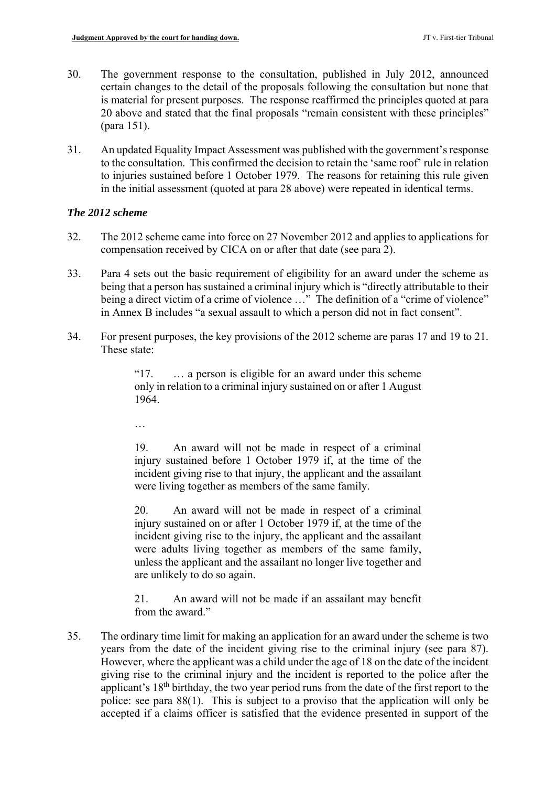- 30. The government response to the consultation, published in July 2012, announced certain changes to the detail of the proposals following the consultation but none that is material for present purposes. The response reaffirmed the principles quoted at para 20 above and stated that the final proposals "remain consistent with these principles" (para 151).
- to the consultation. This confirmed the decision to retain the 'same roof' rule in relation 31. An updated Equality Impact Assessment was published with the government's response to injuries sustained before 1 October 1979. The reasons for retaining this rule given in the initial assessment (quoted at para 28 above) were repeated in identical terms.

### *The 2012 scheme*

- 32. The 2012 scheme came into force on 27 November 2012 and applies to applications for compensation received by CICA on or after that date (see para 2).
- being a direct victim of a crime of violence ..." The definition of a "crime of violence" 33. Para 4 sets out the basic requirement of eligibility for an award under the scheme as being that a person has sustained a criminal injury which is "directly attributable to their in Annex B includes "a sexual assault to which a person did not in fact consent".
- 34. For present purposes, the key provisions of the 2012 scheme are paras 17 and 19 to 21. These state:

"17. … a person is eligible for an award under this scheme only in relation to a criminal injury sustained on or after 1 August 1964.

…

19. An award will not be made in respect of a criminal injury sustained before 1 October 1979 if, at the time of the incident giving rise to that injury, the applicant and the assailant were living together as members of the same family.

20. An award will not be made in respect of a criminal injury sustained on or after 1 October 1979 if, at the time of the incident giving rise to the injury, the applicant and the assailant were adults living together as members of the same family, unless the applicant and the assailant no longer live together and are unlikely to do so again.

21. An award will not be made if an assailant may benefit from the award."

35. The ordinary time limit for making an application for an award under the scheme is two years from the date of the incident giving rise to the criminal injury (see para 87). However, where the applicant was a child under the age of 18 on the date of the incident giving rise to the criminal injury and the incident is reported to the police after the applicant's 18<sup>th</sup> birthday, the two year period runs from the date of the first report to the police: see para 88(1). This is subject to a proviso that the application will only be accepted if a claims officer is satisfied that the evidence presented in support of the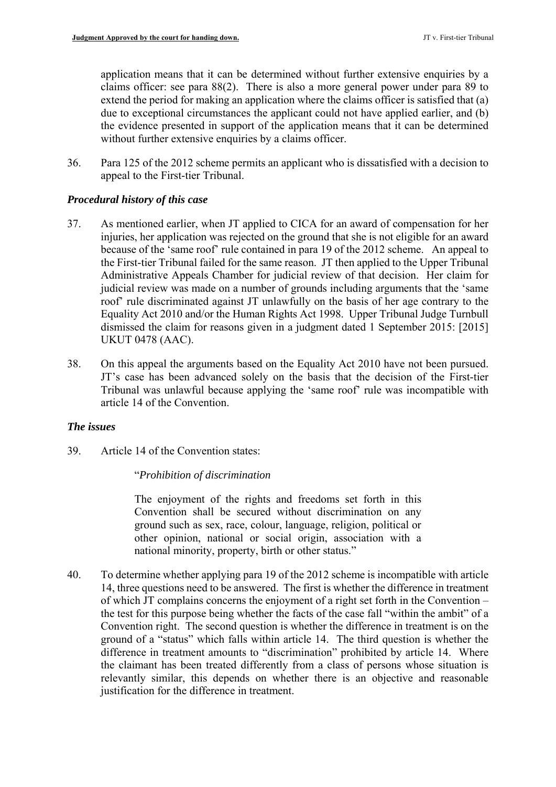the evidence presented in support of the application means that it can be determined application means that it can be determined without further extensive enquiries by a claims officer: see para 88(2). There is also a more general power under para 89 to extend the period for making an application where the claims officer is satisfied that (a) due to exceptional circumstances the applicant could not have applied earlier, and (b) without further extensive enquiries by a claims officer.

36. Para 125 of the 2012 scheme permits an applicant who is dissatisfied with a decision to appeal to the First-tier Tribunal.

### *Procedural history of this case*

- because of the 'same roof' rule contained in para 19 of the 2012 scheme. An appeal to the First-tier Tribunal failed for the same reason. JT then applied to the Upper Tribunal Administrative Appeals Chamber for judicial review of that decision. Her claim for 37. As mentioned earlier, when JT applied to CICA for an award of compensation for her injuries, her application was rejected on the ground that she is not eligible for an award judicial review was made on a number of grounds including arguments that the 'same roof' rule discriminated against JT unlawfully on the basis of her age contrary to the Equality Act 2010 and/or the Human Rights Act 1998. Upper Tribunal Judge Turnbull dismissed the claim for reasons given in a judgment dated 1 September 2015: [2015] UKUT 0478 (AAC).
- 38. On this appeal the arguments based on the Equality Act 2010 have not been pursued. JT's case has been advanced solely on the basis that the decision of the First-tier Tribunal was unlawful because applying the 'same roof' rule was incompatible with article 14 of the Convention.

#### *The issues*

39. Article 14 of the Convention states:

#### "*Prohibition of discrimination*

The enjoyment of the rights and freedoms set forth in this Convention shall be secured without discrimination on any ground such as sex, race, colour, language, religion, political or other opinion, national or social origin, association with a national minority, property, birth or other status."

 relevantly similar, this depends on whether there is an objective and reasonable 40. To determine whether applying para 19 of the 2012 scheme is incompatible with article 14, three questions need to be answered. The first is whether the difference in treatment of which JT complains concerns the enjoyment of a right set forth in the Convention – the test for this purpose being whether the facts of the case fall "within the ambit" of a Convention right. The second question is whether the difference in treatment is on the ground of a "status" which falls within article 14. The third question is whether the difference in treatment amounts to "discrimination" prohibited by article 14. Where the claimant has been treated differently from a class of persons whose situation is justification for the difference in treatment.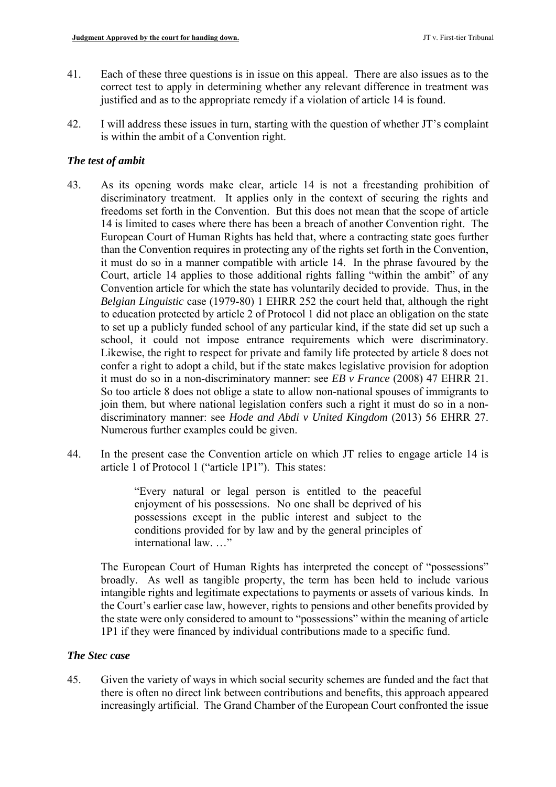- 41. Each of these three questions is in issue on this appeal. There are also issues as to the correct test to apply in determining whether any relevant difference in treatment was justified and as to the appropriate remedy if a violation of article 14 is found.
- 42. I will address these issues in turn, starting with the question of whether JT's complaint is within the ambit of a Convention right.

# *The test of ambit*

- it must do so in a manner compatible with article 14. In the phrase favoured by the Court, article 14 applies to those additional rights falling "within the ambit" of any to set up a publicly funded school of any particular kind, if the state did set up such a 43. As its opening words make clear, article 14 is not a freestanding prohibition of discriminatory treatment. It applies only in the context of securing the rights and freedoms set forth in the Convention. But this does not mean that the scope of article 14 is limited to cases where there has been a breach of another Convention right. The European Court of Human Rights has held that, where a contracting state goes further than the Convention requires in protecting any of the rights set forth in the Convention, Convention article for which the state has voluntarily decided to provide. Thus, in the *Belgian Linguistic* case (1979-80) 1 EHRR 252 the court held that, although the right to education protected by article 2 of Protocol 1 did not place an obligation on the state school, it could not impose entrance requirements which were discriminatory. Likewise, the right to respect for private and family life protected by article 8 does not confer a right to adopt a child, but if the state makes legislative provision for adoption it must do so in a non-discriminatory manner: see *EB v France* (2008) 47 EHRR 21. So too article 8 does not oblige a state to allow non-national spouses of immigrants to join them, but where national legislation confers such a right it must do so in a nondiscriminatory manner: see *Hode and Abdi v United Kingdom* (2013) 56 EHRR 27. Numerous further examples could be given.
- 44. In the present case the Convention article on which JT relies to engage article 14 is article 1 of Protocol 1 ("article 1P1"). This states:

"Every natural or legal person is entitled to the peaceful enjoyment of his possessions. No one shall be deprived of his possessions except in the public interest and subject to the conditions provided for by law and by the general principles of international law. …"

 intangible rights and legitimate expectations to payments or assets of various kinds. In The European Court of Human Rights has interpreted the concept of "possessions" broadly. As well as tangible property, the term has been held to include various the Court's earlier case law, however, rights to pensions and other benefits provided by the state were only considered to amount to "possessions" within the meaning of article 1P1 if they were financed by individual contributions made to a specific fund.

#### *The Stec case*

45. Given the variety of ways in which social security schemes are funded and the fact that there is often no direct link between contributions and benefits, this approach appeared increasingly artificial. The Grand Chamber of the European Court confronted the issue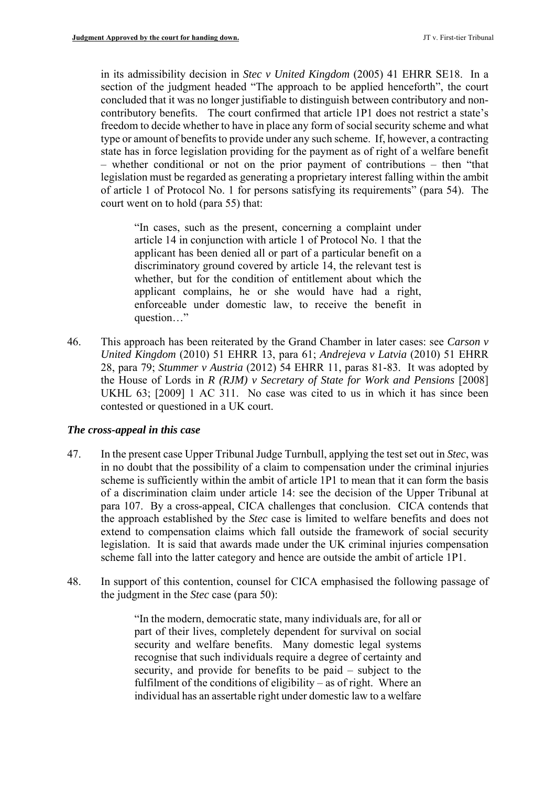in its admissibility decision in *Stec v United Kingdom* (2005) 41 EHRR SE18. In a contributory benefits. The court confirmed that article 1P1 does not restrict a state's section of the judgment headed "The approach to be applied henceforth", the court concluded that it was no longer justifiable to distinguish between contributory and nonfreedom to decide whether to have in place any form of social security scheme and what type or amount of benefits to provide under any such scheme. If, however, a contracting state has in force legislation providing for the payment as of right of a welfare benefit – whether conditional or not on the prior payment of contributions – then "that legislation must be regarded as generating a proprietary interest falling within the ambit of article 1 of Protocol No. 1 for persons satisfying its requirements" (para 54). The court went on to hold (para 55) that:

 applicant has been denied all or part of a particular benefit on a "In cases, such as the present, concerning a complaint under article 14 in conjunction with article 1 of Protocol No. 1 that the discriminatory ground covered by article 14, the relevant test is whether, but for the condition of entitlement about which the applicant complains, he or she would have had a right, enforceable under domestic law, to receive the benefit in question…"

 UKHL 63; [2009] 1 AC 311. No case was cited to us in which it has since been 46. This approach has been reiterated by the Grand Chamber in later cases: see *Carson v United Kingdom* (2010) 51 EHRR 13, para 61; *Andrejeva v Latvia* (2010) 51 EHRR 28, para 79; *Stummer v Austria* (2012) 54 EHRR 11, paras 81-83. It was adopted by the House of Lords in *R (RJM) v Secretary of State for Work and Pensions* [2008] contested or questioned in a UK court.

#### *The cross-appeal in this case*

- scheme is sufficiently within the ambit of article 1P1 to mean that it can form the basis legislation. It is said that awards made under the UK criminal injuries compensation 47. In the present case Upper Tribunal Judge Turnbull, applying the test set out in *Stec*, was in no doubt that the possibility of a claim to compensation under the criminal injuries of a discrimination claim under article 14: see the decision of the Upper Tribunal at para 107. By a cross-appeal, CICA challenges that conclusion. CICA contends that the approach established by the *Stec* case is limited to welfare benefits and does not extend to compensation claims which fall outside the framework of social security scheme fall into the latter category and hence are outside the ambit of article 1P1.
- 48. In support of this contention, counsel for CICA emphasised the following passage of the judgment in the *Stec* case (para 50):

 fulfilment of the conditions of eligibility – as of right. Where an "In the modern, democratic state, many individuals are, for all or part of their lives, completely dependent for survival on social security and welfare benefits. Many domestic legal systems recognise that such individuals require a degree of certainty and security, and provide for benefits to be paid – subject to the individual has an assertable right under domestic law to a welfare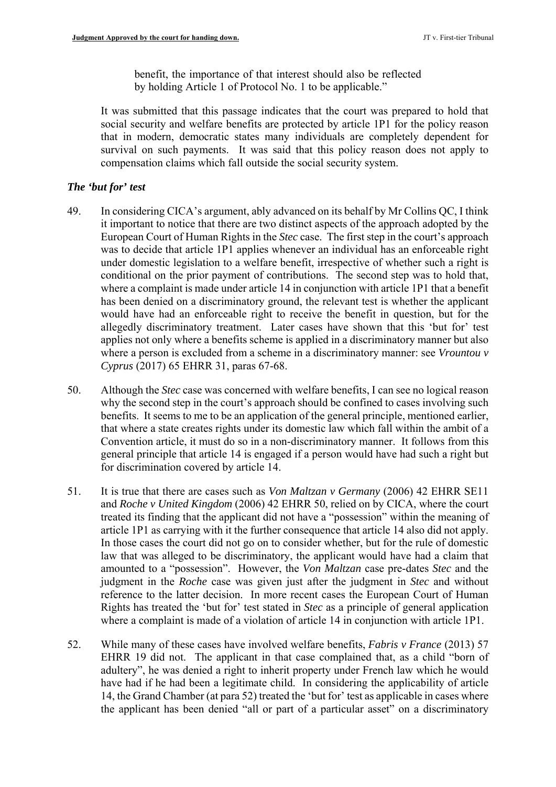benefit, the importance of that interest should also be reflected by holding Article 1 of Protocol No. 1 to be applicable."

It was submitted that this passage indicates that the court was prepared to hold that social security and welfare benefits are protected by article 1P1 for the policy reason that in modern, democratic states many individuals are completely dependent for survival on such payments. It was said that this policy reason does not apply to compensation claims which fall outside the social security system.

### *The 'but for' test*

- was to decide that article 1P1 applies whenever an individual has an enforceable right 49. In considering CICA's argument, ably advanced on its behalf by Mr Collins QC, I think it important to notice that there are two distinct aspects of the approach adopted by the European Court of Human Rights in the *Stec* case. The first step in the court's approach under domestic legislation to a welfare benefit, irrespective of whether such a right is conditional on the prior payment of contributions. The second step was to hold that, where a complaint is made under article 14 in conjunction with article 1P1 that a benefit has been denied on a discriminatory ground, the relevant test is whether the applicant would have had an enforceable right to receive the benefit in question, but for the allegedly discriminatory treatment. Later cases have shown that this 'but for' test applies not only where a benefits scheme is applied in a discriminatory manner but also where a person is excluded from a scheme in a discriminatory manner: see *Vrountou v Cyprus* (2017) 65 EHRR 31, paras 67-68.
- 50. Although the *Stec* case was concerned with welfare benefits, I can see no logical reason general principle that article 14 is engaged if a person would have had such a right but why the second step in the court's approach should be confined to cases involving such benefits. It seems to me to be an application of the general principle, mentioned earlier, that where a state creates rights under its domestic law which fall within the ambit of a Convention article, it must do so in a non-discriminatory manner. It follows from this for discrimination covered by article 14.
- In those cases the court did not go on to consider whether, but for the rule of domestic law that was alleged to be discriminatory, the applicant would have had a claim that amounted to a "possession". However, the *Von Maltzan* case pre-dates *Stec* and the Rights has treated the 'but for' test stated in *Stec* as a principle of general application 51. It is true that there are cases such as *Von Maltzan v Germany* (2006) 42 EHRR SE11 and *Roche v United Kingdom* (2006) 42 EHRR 50, relied on by CICA, where the court treated its finding that the applicant did not have a "possession" within the meaning of article 1P1 as carrying with it the further consequence that article 14 also did not apply. judgment in the *Roche* case was given just after the judgment in *Stec* and without reference to the latter decision. In more recent cases the European Court of Human where a complaint is made of a violation of article 14 in conjunction with article 1P1.
- 52. While many of these cases have involved welfare benefits, *Fabris v France* (2013) 57 EHRR 19 did not. The applicant in that case complained that, as a child "born of adultery", he was denied a right to inherit property under French law which he would have had if he had been a legitimate child. In considering the applicability of article 14, the Grand Chamber (at para 52) treated the 'but for' test as applicable in cases where the applicant has been denied "all or part of a particular asset" on a discriminatory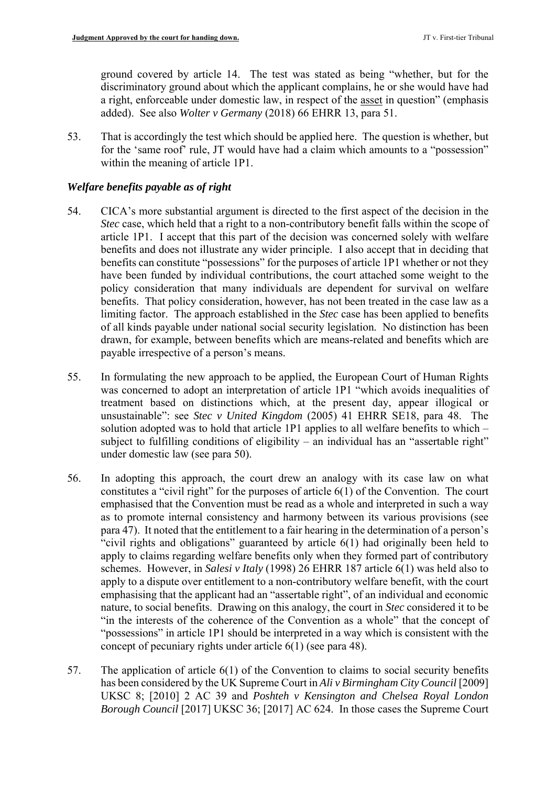ground covered by article 14. The test was stated as being "whether, but for the discriminatory ground about which the applicant complains, he or she would have had a right, enforceable under domestic law, in respect of the asset in question" (emphasis added). See also *Wolter v Germany* (2018) 66 EHRR 13, para 51.

53. That is accordingly the test which should be applied here. The question is whether, but for the 'same roof' rule, JT would have had a claim which amounts to a "possession" within the meaning of article 1P1.

### *Welfare benefits payable as of right*

- article 1P1. I accept that this part of the decision was concerned solely with welfare benefits and does not illustrate any wider principle. I also accept that in deciding that benefits can constitute "possessions" for the purposes of article 1P1 whether or not they 54. CICA's more substantial argument is directed to the first aspect of the decision in the *Stec* case, which held that a right to a non-contributory benefit falls within the scope of have been funded by individual contributions, the court attached some weight to the policy consideration that many individuals are dependent for survival on welfare benefits. That policy consideration, however, has not been treated in the case law as a limiting factor. The approach established in the *Stec* case has been applied to benefits of all kinds payable under national social security legislation. No distinction has been drawn, for example, between benefits which are means-related and benefits which are payable irrespective of a person's means.
- unsustainable": see *Stec v United Kingdom* (2005) 41 EHRR SE18, para 48. The subject to fulfilling conditions of eligibility – an individual has an "assertable right" 55. In formulating the new approach to be applied, the European Court of Human Rights was concerned to adopt an interpretation of article 1P1 "which avoids inequalities of treatment based on distinctions which, at the present day, appear illogical or solution adopted was to hold that article 1P1 applies to all welfare benefits to which – under domestic law (see para 50).
- constitutes a "civil right" for the purposes of article 6(1) of the Convention. The court para 47). It noted that the entitlement to a fair hearing in the determination of a person's nature, to social benefits. Drawing on this analogy, the court in *Stec* considered it to be 56. In adopting this approach, the court drew an analogy with its case law on what emphasised that the Convention must be read as a whole and interpreted in such a way as to promote internal consistency and harmony between its various provisions (see "civil rights and obligations" guaranteed by article 6(1) had originally been held to apply to claims regarding welfare benefits only when they formed part of contributory schemes. However, in *Salesi v Italy* (1998) 26 EHRR 187 article 6(1) was held also to apply to a dispute over entitlement to a non-contributory welfare benefit, with the court emphasising that the applicant had an "assertable right", of an individual and economic "in the interests of the coherence of the Convention as a whole" that the concept of "possessions" in article 1P1 should be interpreted in a way which is consistent with the concept of pecuniary rights under article 6(1) (see para 48).
- 57. The application of article 6(1) of the Convention to claims to social security benefits has been considered by the UK Supreme Court in *Ali v Birmingham City Council* [2009] UKSC 8; [2010] 2 AC 39 and *Poshteh v Kensington and Chelsea Royal London Borough Council* [2017] UKSC 36; [2017] AC 624. In those cases the Supreme Court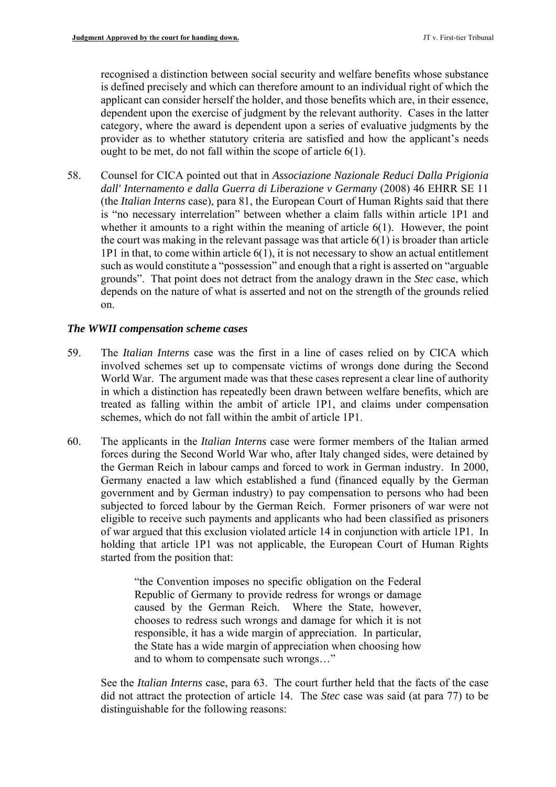dependent upon the exercise of judgment by the relevant authority. Cases in the latter recognised a distinction between social security and welfare benefits whose substance is defined precisely and which can therefore amount to an individual right of which the applicant can consider herself the holder, and those benefits which are, in their essence, category, where the award is dependent upon a series of evaluative judgments by the provider as to whether statutory criteria are satisfied and how the applicant's needs ought to be met, do not fall within the scope of article 6(1).

 is "no necessary interrelation" between whether a claim falls within article 1P1 and 1P1 in that, to come within article 6(1), it is not necessary to show an actual entitlement 58. Counsel for CICA pointed out that in *Associazione Nazionale Reduci Dalla Prigionia dall' Internamento e dalla Guerra di Liberazione v Germany* (2008) 46 EHRR SE 11 (the *Italian Interns* case), para 81, the European Court of Human Rights said that there whether it amounts to a right within the meaning of article 6(1). However, the point the court was making in the relevant passage was that article  $6(1)$  is broader than article such as would constitute a "possession" and enough that a right is asserted on "arguable grounds". That point does not detract from the analogy drawn in the *Stec* case, which depends on the nature of what is asserted and not on the strength of the grounds relied on.

#### *The WWII compensation scheme cases*

- World War. The argument made was that these cases represent a clear line of authority in which a distinction has repeatedly been drawn between welfare benefits, which are 59. The *Italian Interns* case was the first in a line of cases relied on by CICA which involved schemes set up to compensate victims of wrongs done during the Second treated as falling within the ambit of article 1P1, and claims under compensation schemes, which do not fall within the ambit of article 1P1.
- Germany enacted a law which established a fund (financed equally by the German 60. The applicants in the *Italian Interns* case were former members of the Italian armed forces during the Second World War who, after Italy changed sides, were detained by the German Reich in labour camps and forced to work in German industry. In 2000, government and by German industry) to pay compensation to persons who had been subjected to forced labour by the German Reich. Former prisoners of war were not eligible to receive such payments and applicants who had been classified as prisoners of war argued that this exclusion violated article 14 in conjunction with article 1P1. In holding that article 1P1 was not applicable, the European Court of Human Rights started from the position that:

"the Convention imposes no specific obligation on the Federal Republic of Germany to provide redress for wrongs or damage caused by the German Reich. Where the State, however, chooses to redress such wrongs and damage for which it is not responsible, it has a wide margin of appreciation. In particular, the State has a wide margin of appreciation when choosing how and to whom to compensate such wrongs…"

 did not attract the protection of article 14. The *Stec* case was said (at para 77) to be See the *Italian Interns* case, para 63. The court further held that the facts of the case distinguishable for the following reasons: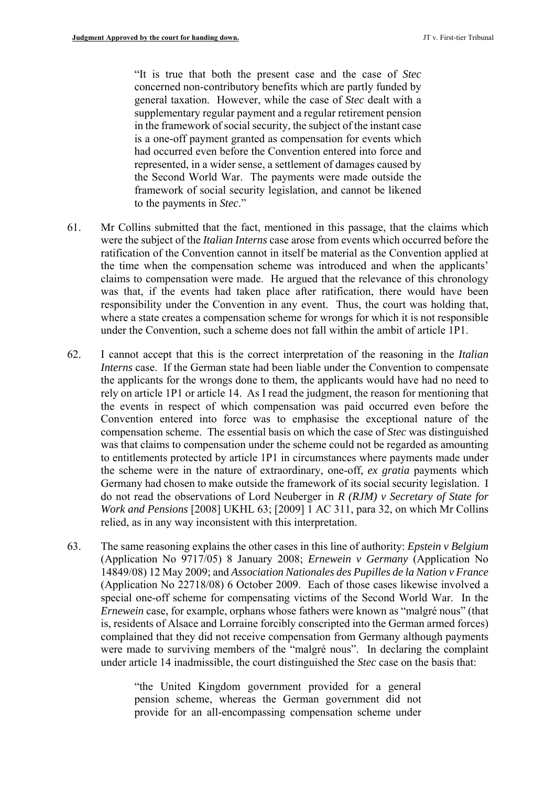general taxation. However, while the case of *Stec* dealt with a "It is true that both the present case and the case of *Stec*  concerned non-contributory benefits which are partly funded by supplementary regular payment and a regular retirement pension in the framework of social security, the subject of the instant case is a one-off payment granted as compensation for events which had occurred even before the Convention entered into force and represented, in a wider sense, a settlement of damages caused by the Second World War. The payments were made outside the framework of social security legislation, and cannot be likened to the payments in *Stec*."

- were the subject of the *Italian Interns* case arose from events which occurred before the 61. Mr Collins submitted that the fact, mentioned in this passage, that the claims which ratification of the Convention cannot in itself be material as the Convention applied at the time when the compensation scheme was introduced and when the applicants' claims to compensation were made. He argued that the relevance of this chronology was that, if the events had taken place after ratification, there would have been responsibility under the Convention in any event. Thus, the court was holding that, where a state creates a compensation scheme for wrongs for which it is not responsible under the Convention, such a scheme does not fall within the ambit of article 1P1.
- Germany had chosen to make outside the framework of its social security legislation. I 62. I cannot accept that this is the correct interpretation of the reasoning in the *Italian Interns* case. If the German state had been liable under the Convention to compensate the applicants for the wrongs done to them, the applicants would have had no need to rely on article 1P1 or article 14. As I read the judgment, the reason for mentioning that the events in respect of which compensation was paid occurred even before the Convention entered into force was to emphasise the exceptional nature of the compensation scheme. The essential basis on which the case of *Stec* was distinguished was that claims to compensation under the scheme could not be regarded as amounting to entitlements protected by article 1P1 in circumstances where payments made under the scheme were in the nature of extraordinary, one-off, *ex gratia* payments which do not read the observations of Lord Neuberger in *R (RJM) v Secretary of State for Work and Pensions* [2008] UKHL 63; [2009] 1 AC 311, para 32, on which Mr Collins relied, as in any way inconsistent with this interpretation.
- special one-off scheme for compensating victims of the Second World War. In the complained that they did not receive compensation from Germany although payments 63. The same reasoning explains the other cases in this line of authority: *Epstein v Belgium*  (Application No 9717/05) 8 January 2008; *Ernewein v Germany* (Application No 14849/08) 12 May 2009; and *Association Nationales des Pupilles de la Nation v France*  (Application No 22718/08) 6 October 2009. Each of those cases likewise involved a *Ernewein* case, for example, orphans whose fathers were known as "malgré nous" (that is, residents of Alsace and Lorraine forcibly conscripted into the German armed forces) were made to surviving members of the "malgré nous". In declaring the complaint under article 14 inadmissible, the court distinguished the *Stec* case on the basis that:

"the United Kingdom government provided for a general pension scheme, whereas the German government did not provide for an all-encompassing compensation scheme under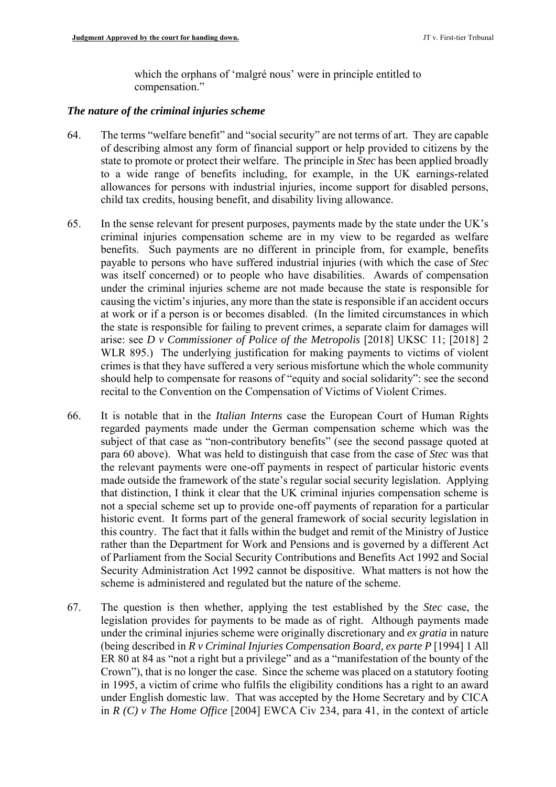which the orphans of 'malgré nous' were in principle entitled to compensation."

#### *The nature of the criminal injuries scheme*

- 64. The terms "welfare benefit" and "social security" are not terms of art. They are capable of describing almost any form of financial support or help provided to citizens by the state to promote or protect their welfare. The principle in *Stec* has been applied broadly to a wide range of benefits including, for example, in the UK earnings-related allowances for persons with industrial injuries, income support for disabled persons, child tax credits, housing benefit, and disability living allowance.
- 65. In the sense relevant for present purposes, payments made by the state under the UK's criminal injuries compensation scheme are in my view to be regarded as welfare benefits. Such payments are no different in principle from, for example, benefits payable to persons who have suffered industrial injuries (with which the case of *Stec*  was itself concerned) or to people who have disabilities. Awards of compensation under the criminal injuries scheme are not made because the state is responsible for causing the victim's injuries, any more than the state is responsible if an accident occurs at work or if a person is or becomes disabled. (In the limited circumstances in which the state is responsible for failing to prevent crimes, a separate claim for damages will arise: see *D v Commissioner of Police of the Metropolis* [2018] UKSC 11; [2018] 2 WLR 895.) The underlying justification for making payments to victims of violent crimes is that they have suffered a very serious misfortune which the whole community should help to compensate for reasons of "equity and social solidarity": see the second recital to the Convention on the Compensation of Victims of Violent Crimes.
- that distinction, I think it clear that the UK criminal injuries compensation scheme is this country. The fact that it falls within the budget and remit of the Ministry of Justice 66. It is notable that in the *Italian Interns* case the European Court of Human Rights regarded payments made under the German compensation scheme which was the subject of that case as "non-contributory benefits" (see the second passage quoted at para 60 above). What was held to distinguish that case from the case of *Stec* was that the relevant payments were one-off payments in respect of particular historic events made outside the framework of the state's regular social security legislation. Applying not a special scheme set up to provide one-off payments of reparation for a particular historic event. It forms part of the general framework of social security legislation in rather than the Department for Work and Pensions and is governed by a different Act of Parliament from the Social Security Contributions and Benefits Act 1992 and Social Security Administration Act 1992 cannot be dispositive. What matters is not how the scheme is administered and regulated but the nature of the scheme.
- (being described in *R v Criminal Injuries Compensation Board, ex parte P* [1994] 1 All ER 80 at 84 as "not a right but a privilege" and as a "manifestation of the bounty of the in 1995, a victim of crime who fulfils the eligibility conditions has a right to an award 67. The question is then whether, applying the test established by the *Stec* case, the legislation provides for payments to be made as of right. Although payments made under the criminal injuries scheme were originally discretionary and *ex gratia* in nature Crown"), that is no longer the case. Since the scheme was placed on a statutory footing under English domestic law. That was accepted by the Home Secretary and by CICA in *R (C) v The Home Office* [2004] EWCA Civ 234, para 41, in the context of article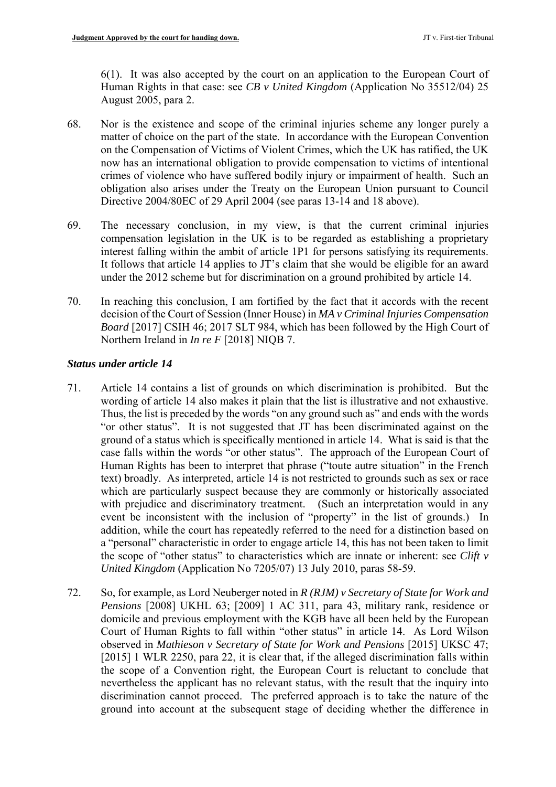6(1). It was also accepted by the court on an application to the European Court of Human Rights in that case: see *CB v United Kingdom* (Application No 35512/04) 25 August 2005, para 2.

- 68. Nor is the existence and scope of the criminal injuries scheme any longer purely a matter of choice on the part of the state. In accordance with the European Convention on the Compensation of Victims of Violent Crimes, which the UK has ratified, the UK now has an international obligation to provide compensation to victims of intentional crimes of violence who have suffered bodily injury or impairment of health. Such an obligation also arises under the Treaty on the European Union pursuant to Council Directive 2004/80EC of 29 April 2004 (see paras 13-14 and 18 above).
- interest falling within the ambit of article 1P1 for persons satisfying its requirements. It follows that article 14 applies to JT's claim that she would be eligible for an award 69. The necessary conclusion, in my view, is that the current criminal injuries compensation legislation in the UK is to be regarded as establishing a proprietary under the 2012 scheme but for discrimination on a ground prohibited by article 14.
- 70. In reaching this conclusion, I am fortified by the fact that it accords with the recent decision of the Court of Session (Inner House) in *MA v Criminal Injuries Compensation Board* [2017] CSIH 46; 2017 SLT 984, which has been followed by the High Court of Northern Ireland in *In re F* [2018] NIQB 7.

#### *Status under article 14*

- 71. Article 14 contains a list of grounds on which discrimination is prohibited. But the wording of article 14 also makes it plain that the list is illustrative and not exhaustive. case falls within the words "or other status". The approach of the European Court of with prejudice and discriminatory treatment. (Such an interpretation would in any Thus, the list is preceded by the words "on any ground such as" and ends with the words "or other status". It is not suggested that JT has been discriminated against on the ground of a status which is specifically mentioned in article 14. What is said is that the Human Rights has been to interpret that phrase ("toute autre situation" in the French text) broadly. As interpreted, article 14 is not restricted to grounds such as sex or race which are particularly suspect because they are commonly or historically associated event be inconsistent with the inclusion of "property" in the list of grounds.) In addition, while the court has repeatedly referred to the need for a distinction based on a "personal" characteristic in order to engage article 14, this has not been taken to limit the scope of "other status" to characteristics which are innate or inherent: see *Clift v United Kingdom* (Application No 7205/07) 13 July 2010, paras 58-59.
- domicile and previous employment with the KGB have all been held by the European discrimination cannot proceed. The preferred approach is to take the nature of the ground into account at the subsequent stage of deciding whether the difference in 72. So, for example, as Lord Neuberger noted in *R (RJM) v Secretary of State for Work and Pensions* [2008] UKHL 63; [2009] 1 AC 311, para 43, military rank, residence or Court of Human Rights to fall within "other status" in article 14. As Lord Wilson observed in *Mathieson v Secretary of State for Work and Pensions* [2015] UKSC 47; [2015] 1 WLR 2250, para 22, it is clear that, if the alleged discrimination falls within the scope of a Convention right, the European Court is reluctant to conclude that nevertheless the applicant has no relevant status, with the result that the inquiry into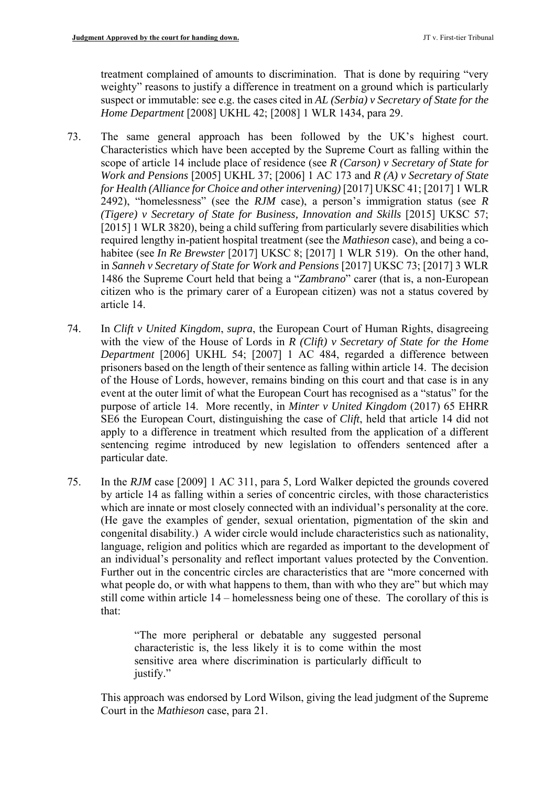treatment complained of amounts to discrimination. That is done by requiring "very weighty" reasons to justify a difference in treatment on a ground which is particularly suspect or immutable: see e.g. the cases cited in *AL (Serbia) v Secretary of State for the Home Department* [2008] UKHL 42; [2008] 1 WLR 1434, para 29.

- habitee (see *In Re Brewster* [2017] UKSC 8; [2017] 1 WLR 519). On the other hand, in *Sanneh v Secretary of State for Work and Pensions* [2017] UKSC 73; [2017] 3 WLR 1486 the Supreme Court held that being a "*Zambrano*" carer (that is, a non-European citizen who is the primary carer of a European citizen) was not a status covered by 73. The same general approach has been followed by the UK's highest court. Characteristics which have been accepted by the Supreme Court as falling within the scope of article 14 include place of residence (see *R (Carson) v Secretary of State for Work and Pensions* [2005] UKHL 37; [2006] 1 AC 173 and *R (A) v Secretary of State for Health (Alliance for Choice and other intervening)* [2017] UKSC 41; [2017] 1 WLR 2492), "homelessness" (see the *RJM* case), a person's immigration status (see *R (Tigere) v Secretary of State for Business, Innovation and Skills* [2015] UKSC 57; [2015] 1 WLR 3820), being a child suffering from particularly severe disabilities which required lengthy in-patient hospital treatment (see the *Mathieson* case), and being a coarticle 14.
- with the view of the House of Lords in *R (Clift) v Secretary of State for the Home*  of the House of Lords, however, remains binding on this court and that case is in any event at the outer limit of what the European Court has recognised as a "status" for the sentencing regime introduced by new legislation to offenders sentenced after a 74. In *Clift v United Kingdom*, *supra*, the European Court of Human Rights, disagreeing *Department* [2006] UKHL 54; [2007] 1 AC 484, regarded a difference between prisoners based on the length of their sentence as falling within article 14. The decision purpose of article 14. More recently, in *Minter v United Kingdom* (2017) 65 EHRR SE6 the European Court, distinguishing the case of *Clift*, held that article 14 did not apply to a difference in treatment which resulted from the application of a different particular date.
- by article 14 as falling within a series of concentric circles, with those characteristics congenital disability.) A wider circle would include characteristics such as nationality, 75. In the *RJM* case [2009] 1 AC 311, para 5, Lord Walker depicted the grounds covered which are innate or most closely connected with an individual's personality at the core. (He gave the examples of gender, sexual orientation, pigmentation of the skin and language, religion and politics which are regarded as important to the development of an individual's personality and reflect important values protected by the Convention. Further out in the concentric circles are characteristics that are "more concerned with what people do, or with what happens to them, than with who they are" but which may still come within article 14 – homelessness being one of these. The corollary of this is that:

 characteristic is, the less likely it is to come within the most "The more peripheral or debatable any suggested personal sensitive area where discrimination is particularly difficult to justify."

This approach was endorsed by Lord Wilson, giving the lead judgment of the Supreme Court in the *Mathieson* case, para 21.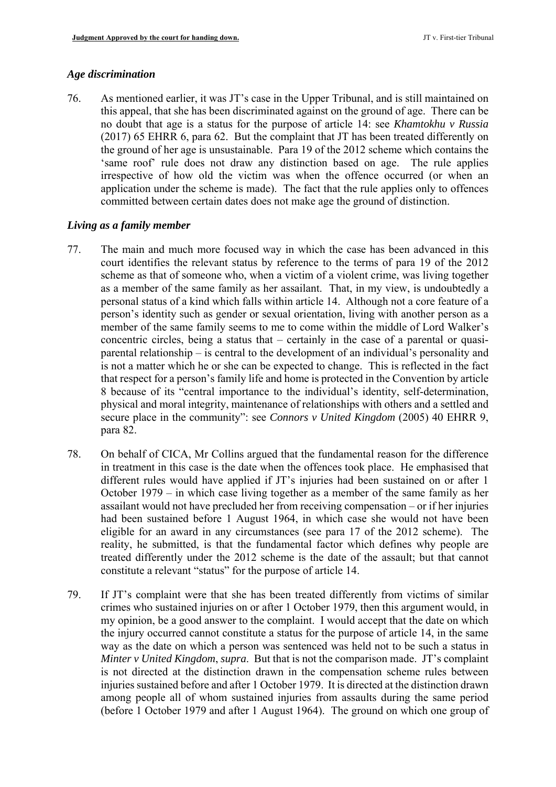#### *Age discrimination*

76. As mentioned earlier, it was JT's case in the Upper Tribunal, and is still maintained on this appeal, that she has been discriminated against on the ground of age. There can be no doubt that age is a status for the purpose of article 14: see *Khamtokhu v Russia*  (2017) 65 EHRR 6, para 62. But the complaint that JT has been treated differently on the ground of her age is unsustainable. Para 19 of the 2012 scheme which contains the 'same roof' rule does not draw any distinction based on age. The rule applies irrespective of how old the victim was when the offence occurred (or when an application under the scheme is made). The fact that the rule applies only to offences committed between certain dates does not make age the ground of distinction.

### *Living as a family member*

- scheme as that of someone who, when a victim of a violent crime, was living together as a member of the same family as her assailant. That, in my view, is undoubtedly a person's identity such as gender or sexual orientation, living with another person as a that respect for a person's family life and home is protected in the Convention by article 77. The main and much more focused way in which the case has been advanced in this court identifies the relevant status by reference to the terms of para 19 of the 2012 personal status of a kind which falls within article 14. Although not a core feature of a member of the same family seems to me to come within the middle of Lord Walker's concentric circles, being a status that – certainly in the case of a parental or quasiparental relationship – is central to the development of an individual's personality and is not a matter which he or she can be expected to change. This is reflected in the fact 8 because of its "central importance to the individual's identity, self-determination, physical and moral integrity, maintenance of relationships with others and a settled and secure place in the community": see *Connors v United Kingdom* (2005) 40 EHRR 9, para 82.
- 78. On behalf of CICA, Mr Collins argued that the fundamental reason for the difference in treatment in this case is the date when the offences took place. He emphasised that different rules would have applied if JT's injuries had been sustained on or after 1 October 1979 – in which case living together as a member of the same family as her assailant would not have precluded her from receiving compensation – or if her injuries had been sustained before 1 August 1964, in which case she would not have been eligible for an award in any circumstances (see para 17 of the 2012 scheme). The reality, he submitted, is that the fundamental factor which defines why people are treated differently under the 2012 scheme is the date of the assault; but that cannot constitute a relevant "status" for the purpose of article 14.
- 79. If JT's complaint were that she has been treated differently from victims of similar the injury occurred cannot constitute a status for the purpose of article 14, in the same way as the date on which a person was sentenced was held not to be such a status in among people all of whom sustained injuries from assaults during the same period crimes who sustained injuries on or after 1 October 1979, then this argument would, in my opinion, be a good answer to the complaint. I would accept that the date on which *Minter v United Kingdom*, *supra*. But that is not the comparison made. JT's complaint is not directed at the distinction drawn in the compensation scheme rules between injuries sustained before and after 1 October 1979. It is directed at the distinction drawn (before 1 October 1979 and after 1 August 1964). The ground on which one group of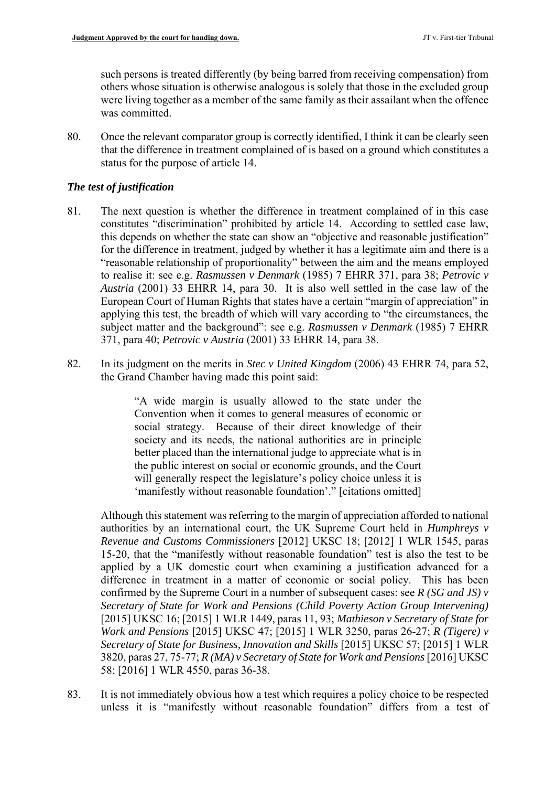were living together as a member of the same family as their assailant when the offence such persons is treated differently (by being barred from receiving compensation) from others whose situation is otherwise analogous is solely that those in the excluded group was committed.

80. Once the relevant comparator group is correctly identified, I think it can be clearly seen that the difference in treatment complained of is based on a ground which constitutes a status for the purpose of article 14.

### *The test of justification*

- 81. The next question is whether the difference in treatment complained of in this case constitutes "discrimination" prohibited by article 14. According to settled case law, to realise it: see e.g. *Rasmussen v Denmark* (1985) 7 EHRR 371, para 38; *Petrovic v Austria* (2001) 33 EHRR 14, para 30. It is also well settled in the case law of the European Court of Human Rights that states have a certain "margin of appreciation" in applying this test, the breadth of which will vary according to "the circumstances, the subject matter and the background": see e.g. *Rasmussen v Denmark* (1985) 7 EHRR this depends on whether the state can show an "objective and reasonable justification" for the difference in treatment, judged by whether it has a legitimate aim and there is a "reasonable relationship of proportionality" between the aim and the means employed 371, para 40; *Petrovic v Austria* (2001) 33 EHRR 14, para 38.
- 82. In its judgment on the merits in *Stec v United Kingdom* (2006) 43 EHRR 74, para 52, the Grand Chamber having made this point said:

 better placed than the international judge to appreciate what is in "A wide margin is usually allowed to the state under the Convention when it comes to general measures of economic or social strategy. Because of their direct knowledge of their society and its needs, the national authorities are in principle the public interest on social or economic grounds, and the Court will generally respect the legislature's policy choice unless it is 'manifestly without reasonable foundation'." [citations omitted]

Although this statement was referring to the margin of appreciation afforded to national authorities by an international court, the UK Supreme Court held in *Humphreys v Revenue and Customs Commissioners* [2012] UKSC 18; [2012] 1 WLR 1545, paras 15-20, that the "manifestly without reasonable foundation" test is also the test to be applied by a UK domestic court when examining a justification advanced for a difference in treatment in a matter of economic or social policy. This has been confirmed by the Supreme Court in a number of subsequent cases: see *R (SG and JS) v Secretary of State for Work and Pensions (Child Poverty Action Group Intervening)*  [2015] UKSC 16; [2015] 1 WLR 1449, paras 11, 93; *Mathieson v Secretary of State for Work and Pensions* [2015] UKSC 47; [2015] 1 WLR 3250, paras 26-27; *R (Tigere) v Secretary of State for Business, Innovation and Skills* [2015] UKSC 57; [2015] 1 WLR 3820, paras 27, 75-77; *R (MA) v Secretary of State for Work and Pensions* [2016] UKSC 58; [2016] 1 WLR 4550, paras 36-38.

 unless it is "manifestly without reasonable foundation" differs from a test of 83. It is not immediately obvious how a test which requires a policy choice to be respected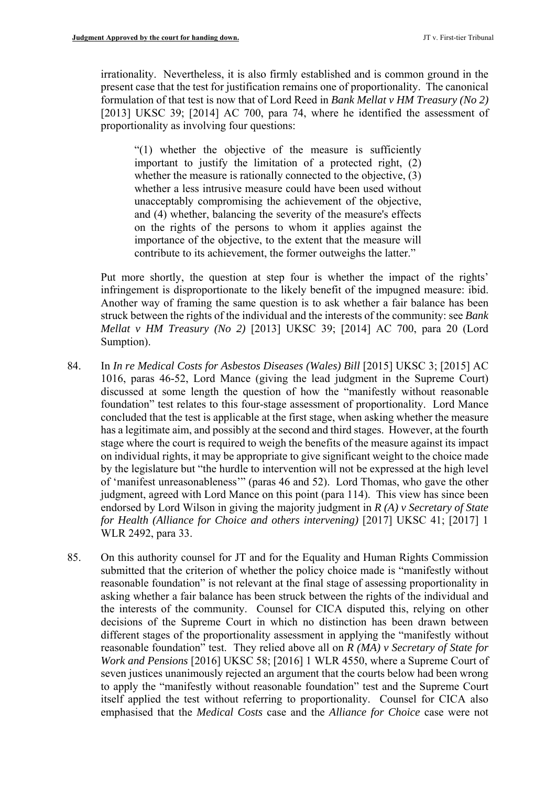irrationality. Nevertheless, it is also firmly established and is common ground in the present case that the test for justification remains one of proportionality. The canonical formulation of that test is now that of Lord Reed in *Bank Mellat v HM Treasury (No 2)*  [2013] UKSC 39; [2014] AC 700, para 74, where he identified the assessment of proportionality as involving four questions:

 important to justify the limitation of a protected right, (2) "(1) whether the objective of the measure is sufficiently whether the measure is rationally connected to the objective, (3) whether a less intrusive measure could have been used without unacceptably compromising the achievement of the objective, and (4) whether, balancing the severity of the measure's effects on the rights of the persons to whom it applies against the importance of the objective, to the extent that the measure will contribute to its achievement, the former outweighs the latter."

Put more shortly, the question at step four is whether the impact of the rights' infringement is disproportionate to the likely benefit of the impugned measure: ibid. Another way of framing the same question is to ask whether a fair balance has been struck between the rights of the individual and the interests of the community: see *Bank Mellat v HM Treasury (No 2)* [2013] UKSC 39; [2014] AC 700, para 20 (Lord Sumption).

- foundation" test relates to this four-stage assessment of proportionality. Lord Mance stage where the court is required to weigh the benefits of the measure against its impact 84. In *In re Medical Costs for Asbestos Diseases (Wales) Bill* [2015] UKSC 3; [2015] AC 1016, paras 46-52, Lord Mance (giving the lead judgment in the Supreme Court) discussed at some length the question of how the "manifestly without reasonable concluded that the test is applicable at the first stage, when asking whether the measure has a legitimate aim, and possibly at the second and third stages. However, at the fourth on individual rights, it may be appropriate to give significant weight to the choice made by the legislature but "the hurdle to intervention will not be expressed at the high level of 'manifest unreasonableness'" (paras 46 and 52). Lord Thomas, who gave the other judgment, agreed with Lord Mance on this point (para 114). This view has since been endorsed by Lord Wilson in giving the majority judgment in *R (A) v Secretary of State for Health (Alliance for Choice and others intervening)* [2017] UKSC 41; [2017] 1 WLR 2492, para 33.
- the interests of the community. Counsel for CICA disputed this, relying on other 85. On this authority counsel for JT and for the Equality and Human Rights Commission submitted that the criterion of whether the policy choice made is "manifestly without reasonable foundation" is not relevant at the final stage of assessing proportionality in asking whether a fair balance has been struck between the rights of the individual and decisions of the Supreme Court in which no distinction has been drawn between different stages of the proportionality assessment in applying the "manifestly without reasonable foundation" test. They relied above all on *R (MA) v Secretary of State for Work and Pensions* [2016] UKSC 58; [2016] 1 WLR 4550, where a Supreme Court of seven justices unanimously rejected an argument that the courts below had been wrong to apply the "manifestly without reasonable foundation" test and the Supreme Court itself applied the test without referring to proportionality. Counsel for CICA also emphasised that the *Medical Costs* case and the *Alliance for Choice* case were not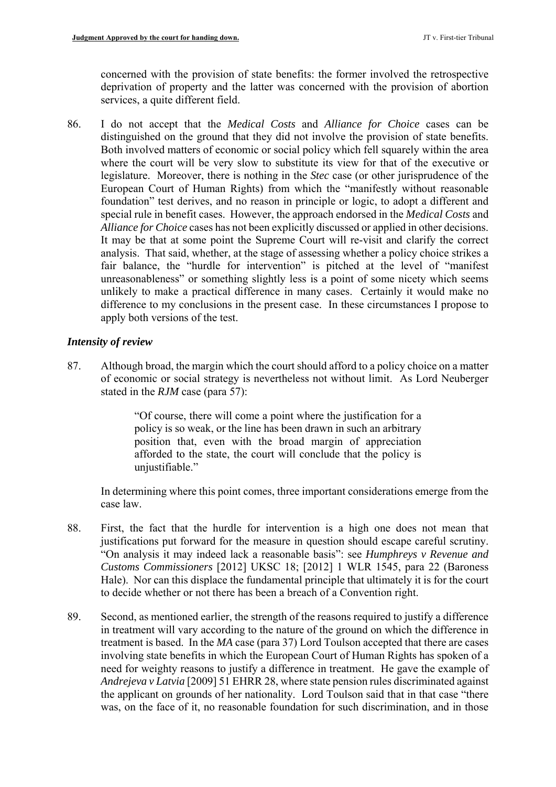concerned with the provision of state benefits: the former involved the retrospective deprivation of property and the latter was concerned with the provision of abortion services, a quite different field.

 legislature. Moreover, there is nothing in the *Stec* case (or other jurisprudence of the European Court of Human Rights) from which the "manifestly without reasonable special rule in benefit cases. However, the approach endorsed in the *Medical Costs* and *Alliance for Choice* cases has not been explicitly discussed or applied in other decisions. 86. I do not accept that the *Medical Costs* and *Alliance for Choice* cases can be distinguished on the ground that they did not involve the provision of state benefits. Both involved matters of economic or social policy which fell squarely within the area where the court will be very slow to substitute its view for that of the executive or foundation" test derives, and no reason in principle or logic, to adopt a different and It may be that at some point the Supreme Court will re-visit and clarify the correct analysis. That said, whether, at the stage of assessing whether a policy choice strikes a fair balance, the "hurdle for intervention" is pitched at the level of "manifest unreasonableness" or something slightly less is a point of some nicety which seems unlikely to make a practical difference in many cases. Certainly it would make no difference to my conclusions in the present case. In these circumstances I propose to apply both versions of the test.

### *Intensity of review*

87. Although broad, the margin which the court should afford to a policy choice on a matter of economic or social strategy is nevertheless not without limit. As Lord Neuberger stated in the *RJM* case (para 57):

> "Of course, there will come a point where the justification for a position that, even with the broad margin of appreciation policy is so weak, or the line has been drawn in such an arbitrary afforded to the state, the court will conclude that the policy is uniustifiable."

In determining where this point comes, three important considerations emerge from the case law.

- 88. First, the fact that the hurdle for intervention is a high one does not mean that justifications put forward for the measure in question should escape careful scrutiny. "On analysis it may indeed lack a reasonable basis": see *Humphreys v Revenue and Customs Commissioners* [2012] UKSC 18; [2012] 1 WLR 1545, para 22 (Baroness Hale). Nor can this displace the fundamental principle that ultimately it is for the court to decide whether or not there has been a breach of a Convention right.
- the applicant on grounds of her nationality. Lord Toulson said that in that case "there 89. Second, as mentioned earlier, the strength of the reasons required to justify a difference in treatment will vary according to the nature of the ground on which the difference in treatment is based. In the *MA* case (para 37) Lord Toulson accepted that there are cases involving state benefits in which the European Court of Human Rights has spoken of a need for weighty reasons to justify a difference in treatment. He gave the example of *Andrejeva v Latvia* [2009] 51 EHRR 28, where state pension rules discriminated against was, on the face of it, no reasonable foundation for such discrimination, and in those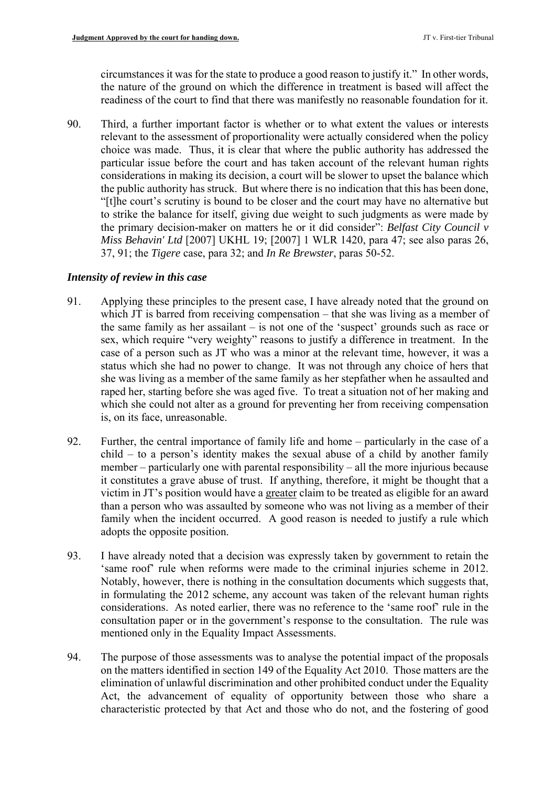circumstances it was for the state to produce a good reason to justify it." In other words, the nature of the ground on which the difference in treatment is based will affect the readiness of the court to find that there was manifestly no reasonable foundation for it.

 90. Third, a further important factor is whether or to what extent the values or interests choice was made. Thus, it is clear that where the public authority has addressed the considerations in making its decision, a court will be slower to upset the balance which the public authority has struck. But where there is no indication that this has been done, *Miss Behavin' Ltd* [2007] UKHL 19; [2007] 1 WLR 1420, para 47; see also paras 26, relevant to the assessment of proportionality were actually considered when the policy particular issue before the court and has taken account of the relevant human rights "[t]he court's scrutiny is bound to be closer and the court may have no alternative but to strike the balance for itself, giving due weight to such judgments as were made by the primary decision-maker on matters he or it did consider": *Belfast City Council v*  37, 91; the *Tigere* case, para 32; and *In Re Brewster*, paras 50-52.

### *Intensity of review in this case*

- sex, which require "very weighty" reasons to justify a difference in treatment. In the raped her, starting before she was aged five. To treat a situation not of her making and 91. Applying these principles to the present case, I have already noted that the ground on which JT is barred from receiving compensation – that she was living as a member of the same family as her assailant – is not one of the 'suspect' grounds such as race or case of a person such as JT who was a minor at the relevant time, however, it was a status which she had no power to change. It was not through any choice of hers that she was living as a member of the same family as her stepfather when he assaulted and which she could not alter as a ground for preventing her from receiving compensation is, on its face, unreasonable.
- 92. Further, the central importance of family life and home particularly in the case of a family when the incident occurred. A good reason is needed to justify a rule which child – to a person's identity makes the sexual abuse of a child by another family member – particularly one with parental responsibility – all the more injurious because it constitutes a grave abuse of trust. If anything, therefore, it might be thought that a victim in JT's position would have a greater claim to be treated as eligible for an award than a person who was assaulted by someone who was not living as a member of their adopts the opposite position.
- considerations. As noted earlier, there was no reference to the 'same roof' rule in the 93. I have already noted that a decision was expressly taken by government to retain the 'same roof' rule when reforms were made to the criminal injuries scheme in 2012. Notably, however, there is nothing in the consultation documents which suggests that, in formulating the 2012 scheme, any account was taken of the relevant human rights consultation paper or in the government's response to the consultation. The rule was mentioned only in the Equality Impact Assessments.
- elimination of unlawful discrimination and other prohibited conduct under the Equality 94. The purpose of those assessments was to analyse the potential impact of the proposals on the matters identified in section 149 of the Equality Act 2010. Those matters are the Act, the advancement of equality of opportunity between those who share a characteristic protected by that Act and those who do not, and the fostering of good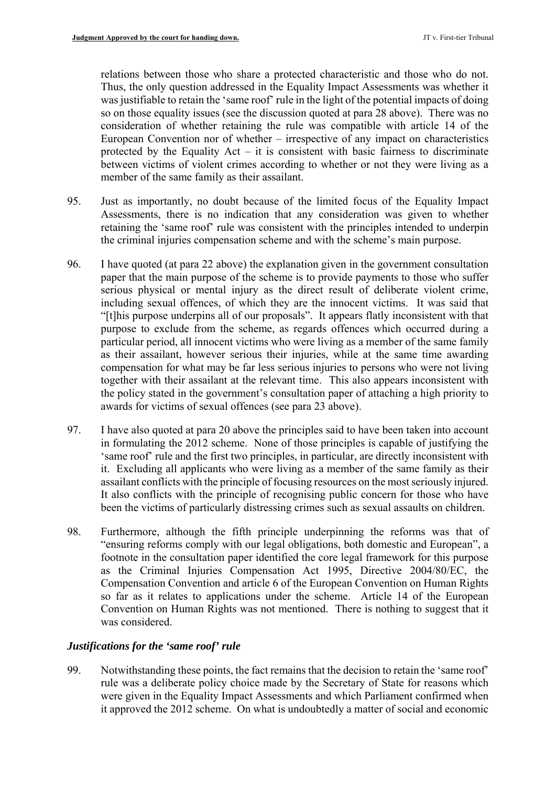between victims of violent crimes according to whether or not they were living as a relations between those who share a protected characteristic and those who do not. Thus, the only question addressed in the Equality Impact Assessments was whether it was justifiable to retain the 'same roof' rule in the light of the potential impacts of doing so on those equality issues (see the discussion quoted at para 28 above). There was no consideration of whether retaining the rule was compatible with article 14 of the European Convention nor of whether – irrespective of any impact on characteristics protected by the Equality Act – it is consistent with basic fairness to discriminate member of the same family as their assailant.

- Assessments, there is no indication that any consideration was given to whether 95. Just as importantly, no doubt because of the limited focus of the Equality Impact retaining the 'same roof' rule was consistent with the principles intended to underpin the criminal injuries compensation scheme and with the scheme's main purpose.
- serious physical or mental injury as the direct result of deliberate violent crime, including sexual offences, of which they are the innocent victims. It was said that particular period, all innocent victims who were living as a member of the same family as their assailant, however serious their injuries, while at the same time awarding 96. I have quoted (at para 22 above) the explanation given in the government consultation paper that the main purpose of the scheme is to provide payments to those who suffer "[t]his purpose underpins all of our proposals". It appears flatly inconsistent with that purpose to exclude from the scheme, as regards offences which occurred during a compensation for what may be far less serious injuries to persons who were not living together with their assailant at the relevant time. This also appears inconsistent with the policy stated in the government's consultation paper of attaching a high priority to awards for victims of sexual offences (see para 23 above).
- 'same roof' rule and the first two principles, in particular, are directly inconsistent with assailant conflicts with the principle of focusing resources on the most seriously injured. It also conflicts with the principle of recognising public concern for those who have 97. I have also quoted at para 20 above the principles said to have been taken into account in formulating the 2012 scheme. None of those principles is capable of justifying the it. Excluding all applicants who were living as a member of the same family as their been the victims of particularly distressing crimes such as sexual assaults on children.
- so far as it relates to applications under the scheme. Article 14 of the European 98. Furthermore, although the fifth principle underpinning the reforms was that of "ensuring reforms comply with our legal obligations, both domestic and European", a footnote in the consultation paper identified the core legal framework for this purpose as the Criminal Injuries Compensation Act 1995, Directive 2004/80/EC, the Compensation Convention and article 6 of the European Convention on Human Rights Convention on Human Rights was not mentioned. There is nothing to suggest that it was considered.

# *Justifications for the 'same roof' rule*

99. Notwithstanding these points, the fact remains that the decision to retain the 'same roof' rule was a deliberate policy choice made by the Secretary of State for reasons which were given in the Equality Impact Assessments and which Parliament confirmed when it approved the 2012 scheme. On what is undoubtedly a matter of social and economic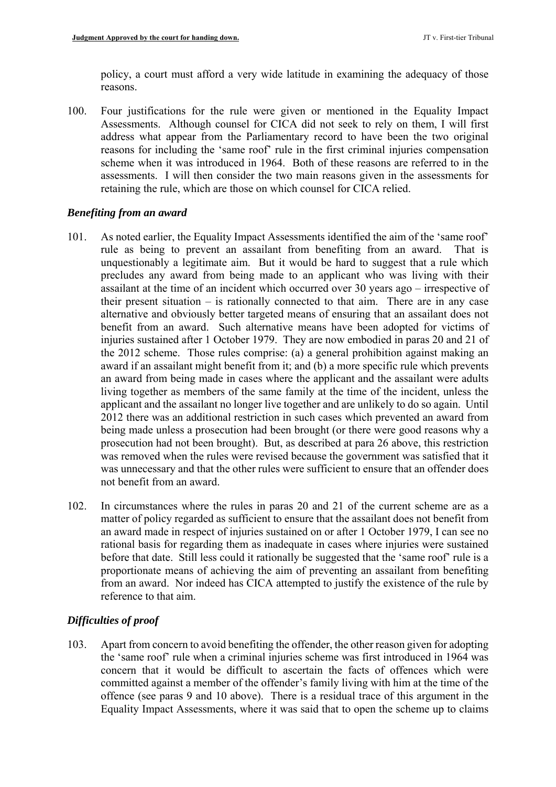policy, a court must afford a very wide latitude in examining the adequacy of those reasons.

 Assessments. Although counsel for CICA did not seek to rely on them, I will first 100. Four justifications for the rule were given or mentioned in the Equality Impact address what appear from the Parliamentary record to have been the two original reasons for including the 'same roof' rule in the first criminal injuries compensation scheme when it was introduced in 1964. Both of these reasons are referred to in the assessments. I will then consider the two main reasons given in the assessments for retaining the rule, which are those on which counsel for CICA relied.

### *Benefiting from an award*

- 101. As noted earlier, the Equality Impact Assessments identified the aim of the 'same roof' rule as being to prevent an assailant from benefiting from an award. That is unquestionably a legitimate aim. But it would be hard to suggest that a rule which living together as members of the same family at the time of the incident, unless the precludes any award from being made to an applicant who was living with their assailant at the time of an incident which occurred over 30 years ago – irrespective of their present situation – is rationally connected to that aim. There are in any case alternative and obviously better targeted means of ensuring that an assailant does not benefit from an award. Such alternative means have been adopted for victims of injuries sustained after 1 October 1979. They are now embodied in paras 20 and 21 of the 2012 scheme. Those rules comprise: (a) a general prohibition against making an award if an assailant might benefit from it; and (b) a more specific rule which prevents an award from being made in cases where the applicant and the assailant were adults applicant and the assailant no longer live together and are unlikely to do so again. Until 2012 there was an additional restriction in such cases which prevented an award from being made unless a prosecution had been brought (or there were good reasons why a prosecution had not been brought). But, as described at para 26 above, this restriction was removed when the rules were revised because the government was satisfied that it was unnecessary and that the other rules were sufficient to ensure that an offender does not benefit from an award.
- 102. In circumstances where the rules in paras 20 and 21 of the current scheme are as a before that date. Still less could it rationally be suggested that the 'same roof' rule is a from an award. Nor indeed has CICA attempted to justify the existence of the rule by matter of policy regarded as sufficient to ensure that the assailant does not benefit from an award made in respect of injuries sustained on or after 1 October 1979, I can see no rational basis for regarding them as inadequate in cases where injuries were sustained proportionate means of achieving the aim of preventing an assailant from benefiting reference to that aim.

# *Difficulties of proof*

 committed against a member of the offender's family living with him at the time of the Equality Impact Assessments, where it was said that to open the scheme up to claims 103. Apart from concern to avoid benefiting the offender, the other reason given for adopting the 'same roof' rule when a criminal injuries scheme was first introduced in 1964 was concern that it would be difficult to ascertain the facts of offences which were offence (see paras 9 and 10 above). There is a residual trace of this argument in the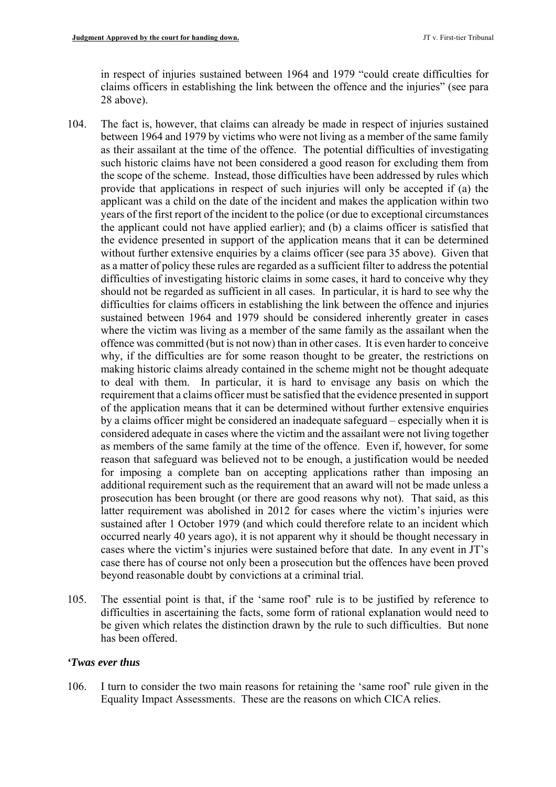in respect of injuries sustained between 1964 and 1979 "could create difficulties for claims officers in establishing the link between the offence and the injuries" (see para 28 above).

- as their assailant at the time of the offence. The potential difficulties of investigating as a matter of policy these rules are regarded as a sufficient filter to address the potential offence was committed (but is not now) than in other cases. It is even harder to conceive to deal with them. In particular, it is hard to envisage any basis on which the by a claims officer might be considered an inadequate safeguard – especially when it is as members of the same family at the time of the offence. Even if, however, for some 104. The fact is, however, that claims can already be made in respect of injuries sustained between 1964 and 1979 by victims who were not living as a member of the same family such historic claims have not been considered a good reason for excluding them from the scope of the scheme. Instead, those difficulties have been addressed by rules which provide that applications in respect of such injuries will only be accepted if (a) the applicant was a child on the date of the incident and makes the application within two years of the first report of the incident to the police (or due to exceptional circumstances the applicant could not have applied earlier); and (b) a claims officer is satisfied that the evidence presented in support of the application means that it can be determined without further extensive enquiries by a claims officer (see para 35 above). Given that difficulties of investigating historic claims in some cases, it hard to conceive why they should not be regarded as sufficient in all cases. In particular, it is hard to see why the difficulties for claims officers in establishing the link between the offence and injuries sustained between 1964 and 1979 should be considered inherently greater in cases where the victim was living as a member of the same family as the assailant when the why, if the difficulties are for some reason thought to be greater, the restrictions on making historic claims already contained in the scheme might not be thought adequate requirement that a claims officer must be satisfied that the evidence presented in support of the application means that it can be determined without further extensive enquiries considered adequate in cases where the victim and the assailant were not living together reason that safeguard was believed not to be enough, a justification would be needed for imposing a complete ban on accepting applications rather than imposing an additional requirement such as the requirement that an award will not be made unless a prosecution has been brought (or there are good reasons why not). That said, as this latter requirement was abolished in 2012 for cases where the victim's injuries were sustained after 1 October 1979 (and which could therefore relate to an incident which occurred nearly 40 years ago), it is not apparent why it should be thought necessary in cases where the victim's injuries were sustained before that date. In any event in JT's case there has of course not only been a prosecution but the offences have been proved beyond reasonable doubt by convictions at a criminal trial.
- 105. The essential point is that, if the 'same roof' rule is to be justified by reference to difficulties in ascertaining the facts, some form of rational explanation would need to be given which relates the distinction drawn by the rule to such difficulties. But none has been offered.

#### *'Twas ever thus*

 106. I turn to consider the two main reasons for retaining the 'same roof' rule given in the Equality Impact Assessments. These are the reasons on which CICA relies.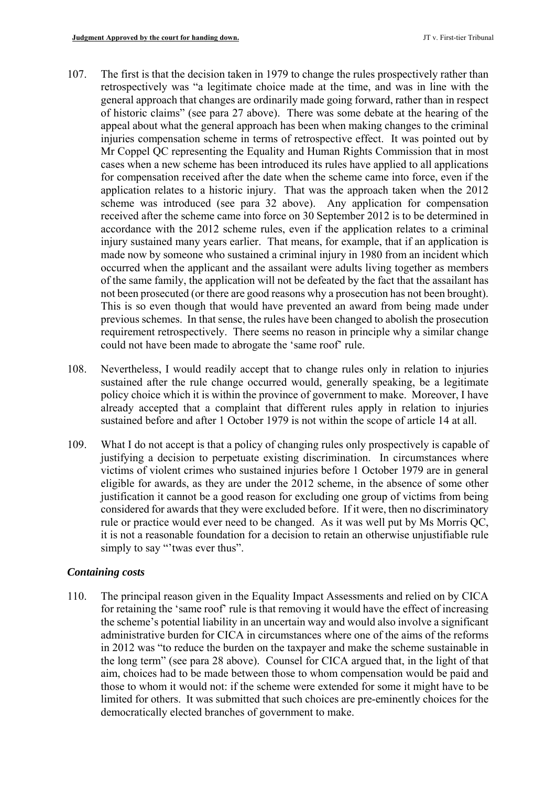- application relates to a historic injury. That was the approach taken when the 2012 injury sustained many years earlier. That means, for example, that if an application is not been prosecuted (or there are good reasons why a prosecution has not been brought). 107. The first is that the decision taken in 1979 to change the rules prospectively rather than retrospectively was "a legitimate choice made at the time, and was in line with the general approach that changes are ordinarily made going forward, rather than in respect of historic claims" (see para 27 above). There was some debate at the hearing of the appeal about what the general approach has been when making changes to the criminal injuries compensation scheme in terms of retrospective effect. It was pointed out by Mr Coppel QC representing the Equality and Human Rights Commission that in most cases when a new scheme has been introduced its rules have applied to all applications for compensation received after the date when the scheme came into force, even if the scheme was introduced (see para 32 above). Any application for compensation received after the scheme came into force on 30 September 2012 is to be determined in accordance with the 2012 scheme rules, even if the application relates to a criminal made now by someone who sustained a criminal injury in 1980 from an incident which occurred when the applicant and the assailant were adults living together as members of the same family, the application will not be defeated by the fact that the assailant has This is so even though that would have prevented an award from being made under previous schemes. In that sense, the rules have been changed to abolish the prosecution requirement retrospectively. There seems no reason in principle why a similar change could not have been made to abrogate the 'same roof' rule.
- policy choice which it is within the province of government to make. Moreover, I have 108. Nevertheless, I would readily accept that to change rules only in relation to injuries sustained after the rule change occurred would, generally speaking, be a legitimate already accepted that a complaint that different rules apply in relation to injuries sustained before and after 1 October 1979 is not within the scope of article 14 at all.
- 109. What I do not accept is that a policy of changing rules only prospectively is capable of justifying a decision to perpetuate existing discrimination. In circumstances where victims of violent crimes who sustained injuries before 1 October 1979 are in general eligible for awards, as they are under the 2012 scheme, in the absence of some other justification it cannot be a good reason for excluding one group of victims from being considered for awards that they were excluded before. If it were, then no discriminatory rule or practice would ever need to be changed. As it was well put by Ms Morris QC, it is not a reasonable foundation for a decision to retain an otherwise unjustifiable rule simply to say "'twas ever thus".

# *Containing costs*

 for retaining the 'same roof' rule is that removing it would have the effect of increasing the long term" (see para 28 above). Counsel for CICA argued that, in the light of that limited for others. It was submitted that such choices are pre-eminently choices for the 110. The principal reason given in the Equality Impact Assessments and relied on by CICA the scheme's potential liability in an uncertain way and would also involve a significant administrative burden for CICA in circumstances where one of the aims of the reforms in 2012 was "to reduce the burden on the taxpayer and make the scheme sustainable in aim, choices had to be made between those to whom compensation would be paid and those to whom it would not: if the scheme were extended for some it might have to be democratically elected branches of government to make.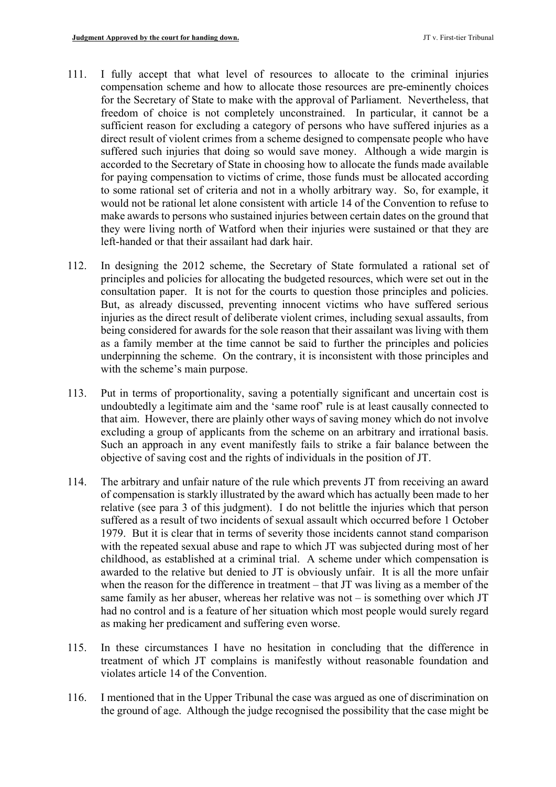- for the Secretary of State to make with the approval of Parliament. Nevertheless, that for paying compensation to victims of crime, those funds must be allocated according 111. I fully accept that what level of resources to allocate to the criminal injuries compensation scheme and how to allocate those resources are pre-eminently choices freedom of choice is not completely unconstrained. In particular, it cannot be a sufficient reason for excluding a category of persons who have suffered injuries as a direct result of violent crimes from a scheme designed to compensate people who have suffered such injuries that doing so would save money. Although a wide margin is accorded to the Secretary of State in choosing how to allocate the funds made available to some rational set of criteria and not in a wholly arbitrary way. So, for example, it would not be rational let alone consistent with article 14 of the Convention to refuse to make awards to persons who sustained injuries between certain dates on the ground that they were living north of Watford when their injuries were sustained or that they are left-handed or that their assailant had dark hair.
- 112. In designing the 2012 scheme, the Secretary of State formulated a rational set of injuries as the direct result of deliberate violent crimes, including sexual assaults, from principles and policies for allocating the budgeted resources, which were set out in the consultation paper. It is not for the courts to question those principles and policies. But, as already discussed, preventing innocent victims who have suffered serious being considered for awards for the sole reason that their assailant was living with them as a family member at the time cannot be said to further the principles and policies underpinning the scheme. On the contrary, it is inconsistent with those principles and with the scheme's main purpose.
- Such an approach in any event manifestly fails to strike a fair balance between the 113. Put in terms of proportionality, saving a potentially significant and uncertain cost is undoubtedly a legitimate aim and the 'same roof' rule is at least causally connected to that aim. However, there are plainly other ways of saving money which do not involve excluding a group of applicants from the scheme on an arbitrary and irrational basis. objective of saving cost and the rights of individuals in the position of JT.
- relative (see para 3 of this judgment). I do not belittle the injuries which that person childhood, as established at a criminal trial. A scheme under which compensation is when the reason for the difference in treatment – that JT was living as a member of the 114. The arbitrary and unfair nature of the rule which prevents JT from receiving an award of compensation is starkly illustrated by the award which has actually been made to her suffered as a result of two incidents of sexual assault which occurred before 1 October 1979. But it is clear that in terms of severity those incidents cannot stand comparison with the repeated sexual abuse and rape to which JT was subjected during most of her awarded to the relative but denied to JT is obviously unfair. It is all the more unfair same family as her abuser, whereas her relative was not – is something over which JT had no control and is a feature of her situation which most people would surely regard as making her predicament and suffering even worse.
- 115. In these circumstances I have no hesitation in concluding that the difference in treatment of which JT complains is manifestly without reasonable foundation and violates article 14 of the Convention.
- 116. I mentioned that in the Upper Tribunal the case was argued as one of discrimination on the ground of age. Although the judge recognised the possibility that the case might be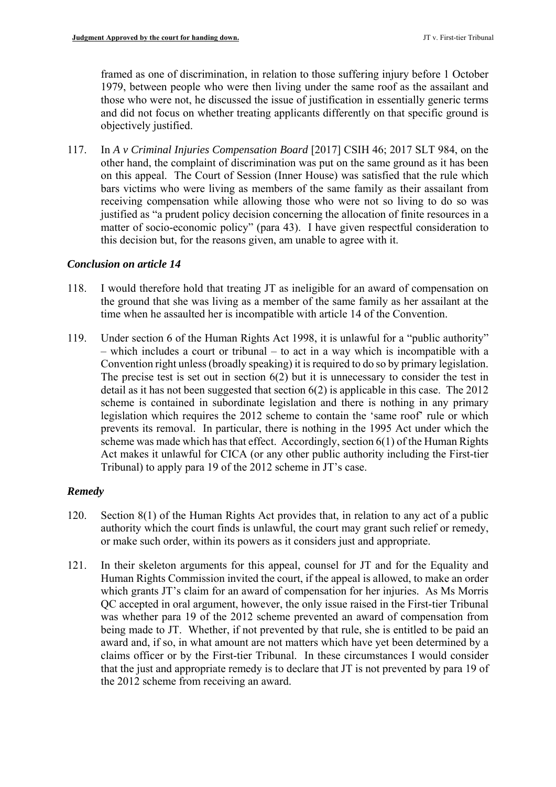framed as one of discrimination, in relation to those suffering injury before 1 October 1979, between people who were then living under the same roof as the assailant and those who were not, he discussed the issue of justification in essentially generic terms and did not focus on whether treating applicants differently on that specific ground is objectively justified.

 other hand, the complaint of discrimination was put on the same ground as it has been bars victims who were living as members of the same family as their assailant from matter of socio-economic policy" (para 43). I have given respectful consideration to 117. In *A v Criminal Injuries Compensation Board* [2017] CSIH 46; 2017 SLT 984, on the on this appeal. The Court of Session (Inner House) was satisfied that the rule which receiving compensation while allowing those who were not so living to do so was justified as "a prudent policy decision concerning the allocation of finite resources in a this decision but, for the reasons given, am unable to agree with it.

#### *Conclusion on article 14*

- 118. I would therefore hold that treating JT as ineligible for an award of compensation on the ground that she was living as a member of the same family as her assailant at the time when he assaulted her is incompatible with article 14 of the Convention.
- 119. Under section 6 of the Human Rights Act 1998, it is unlawful for a "public authority" – which includes a court or tribunal – to act in a way which is incompatible with a Convention right unless (broadly speaking) it is required to do so by primary legislation. The precise test is set out in section  $6(2)$  but it is unnecessary to consider the test in detail as it has not been suggested that section 6(2) is applicable in this case. The 2012 scheme is contained in subordinate legislation and there is nothing in any primary legislation which requires the 2012 scheme to contain the 'same roof' rule or which prevents its removal. In particular, there is nothing in the 1995 Act under which the scheme was made which has that effect. Accordingly, section 6(1) of the Human Rights Act makes it unlawful for CICA (or any other public authority including the First-tier Tribunal) to apply para 19 of the 2012 scheme in JT's case.

#### *Remedy*

- 120. Section 8(1) of the Human Rights Act provides that, in relation to any act of a public authority which the court finds is unlawful, the court may grant such relief or remedy, or make such order, within its powers as it considers just and appropriate.
- 121. In their skeleton arguments for this appeal, counsel for JT and for the Equality and Human Rights Commission invited the court, if the appeal is allowed, to make an order which grants JT's claim for an award of compensation for her injuries. As Ms Morris QC accepted in oral argument, however, the only issue raised in the First-tier Tribunal was whether para 19 of the 2012 scheme prevented an award of compensation from being made to JT. Whether, if not prevented by that rule, she is entitled to be paid an award and, if so, in what amount are not matters which have yet been determined by a claims officer or by the First-tier Tribunal. In these circumstances I would consider that the just and appropriate remedy is to declare that JT is not prevented by para 19 of the 2012 scheme from receiving an award.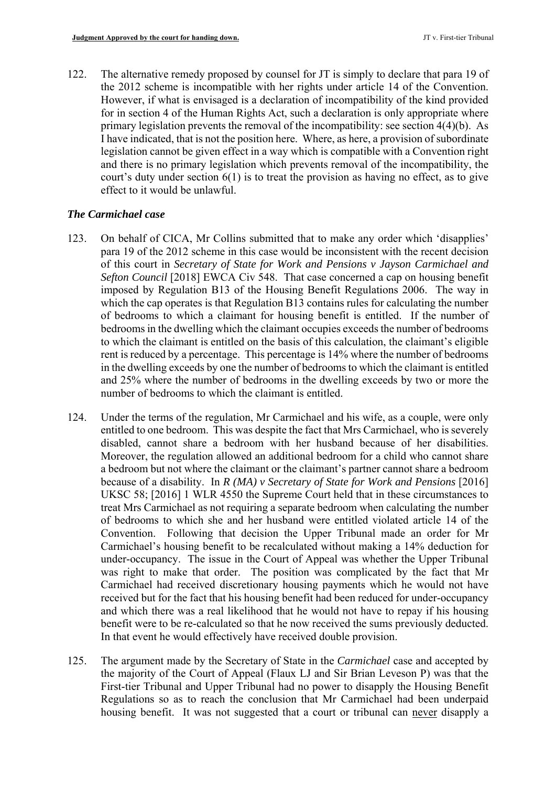legislation cannot be given effect in a way which is compatible with a Convention right 122. The alternative remedy proposed by counsel for JT is simply to declare that para 19 of the 2012 scheme is incompatible with her rights under article 14 of the Convention. However, if what is envisaged is a declaration of incompatibility of the kind provided for in section 4 of the Human Rights Act, such a declaration is only appropriate where primary legislation prevents the removal of the incompatibility: see section 4(4)(b). As I have indicated, that is not the position here. Where, as here, a provision of subordinate and there is no primary legislation which prevents removal of the incompatibility, the court's duty under section 6(1) is to treat the provision as having no effect, as to give effect to it would be unlawful.

# *The Carmichael case*

- 123. On behalf of CICA, Mr Collins submitted that to make any order which 'disapplies' which the cap operates is that Regulation B13 contains rules for calculating the number in the dwelling exceeds by one the number of bedrooms to which the claimant is entitled and 25% where the number of bedrooms in the dwelling exceeds by two or more the para 19 of the 2012 scheme in this case would be inconsistent with the recent decision of this court in *Secretary of State for Work and Pensions v Jayson Carmichael and Sefton Council* [2018] EWCA Civ 548. That case concerned a cap on housing benefit imposed by Regulation B13 of the Housing Benefit Regulations 2006. The way in of bedrooms to which a claimant for housing benefit is entitled. If the number of bedrooms in the dwelling which the claimant occupies exceeds the number of bedrooms to which the claimant is entitled on the basis of this calculation, the claimant's eligible rent is reduced by a percentage. This percentage is 14% where the number of bedrooms number of bedrooms to which the claimant is entitled.
- disabled, cannot share a bedroom with her husband because of her disabilities. Moreover, the regulation allowed an additional bedroom for a child who cannot share of bedrooms to which she and her husband were entitled violated article 14 of the 124. Under the terms of the regulation, Mr Carmichael and his wife, as a couple, were only entitled to one bedroom. This was despite the fact that Mrs Carmichael, who is severely a bedroom but not where the claimant or the claimant's partner cannot share a bedroom because of a disability. In *R (MA) v Secretary of State for Work and Pensions* [2016] UKSC 58; [2016] 1 WLR 4550 the Supreme Court held that in these circumstances to treat Mrs Carmichael as not requiring a separate bedroom when calculating the number Convention. Following that decision the Upper Tribunal made an order for Mr Carmichael's housing benefit to be recalculated without making a 14% deduction for under-occupancy. The issue in the Court of Appeal was whether the Upper Tribunal was right to make that order. The position was complicated by the fact that Mr Carmichael had received discretionary housing payments which he would not have received but for the fact that his housing benefit had been reduced for under-occupancy and which there was a real likelihood that he would not have to repay if his housing benefit were to be re-calculated so that he now received the sums previously deducted. In that event he would effectively have received double provision.
- 125. The argument made by the Secretary of State in the *Carmichael* case and accepted by Regulations so as to reach the conclusion that Mr Carmichael had been underpaid the majority of the Court of Appeal (Flaux LJ and Sir Brian Leveson P) was that the First-tier Tribunal and Upper Tribunal had no power to disapply the Housing Benefit housing benefit. It was not suggested that a court or tribunal can never disapply a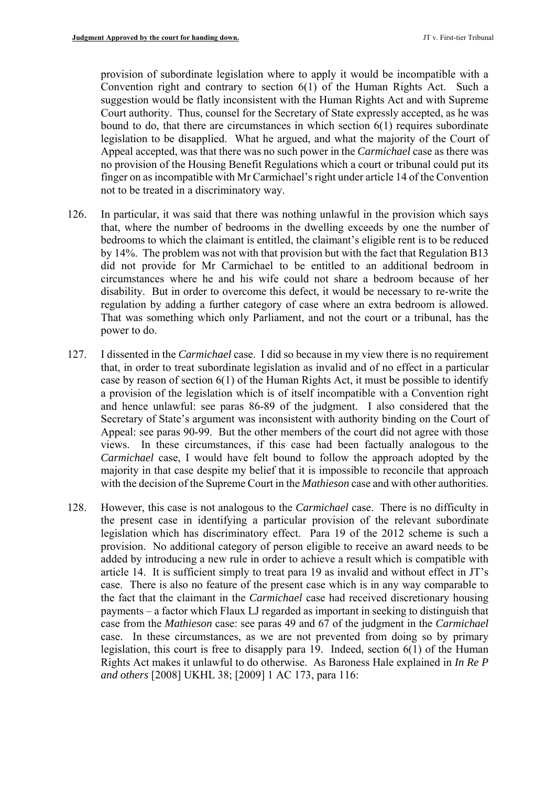Convention right and contrary to section 6(1) of the Human Rights Act. Such a Appeal accepted, was that there was no such power in the *Carmichael* case as there was provision of subordinate legislation where to apply it would be incompatible with a suggestion would be flatly inconsistent with the Human Rights Act and with Supreme Court authority. Thus, counsel for the Secretary of State expressly accepted, as he was bound to do, that there are circumstances in which section 6(1) requires subordinate legislation to be disapplied. What he argued, and what the majority of the Court of no provision of the Housing Benefit Regulations which a court or tribunal could put its finger on as incompatible with Mr Carmichael's right under article 14 of the Convention not to be treated in a discriminatory way.

- 126. In particular, it was said that there was nothing unlawful in the provision which says circumstances where he and his wife could not share a bedroom because of her that, where the number of bedrooms in the dwelling exceeds by one the number of bedrooms to which the claimant is entitled, the claimant's eligible rent is to be reduced by 14%. The problem was not with that provision but with the fact that Regulation B13 did not provide for Mr Carmichael to be entitled to an additional bedroom in disability. But in order to overcome this defect, it would be necessary to re-write the regulation by adding a further category of case where an extra bedroom is allowed. That was something which only Parliament, and not the court or a tribunal, has the power to do.
- 127. I dissented in the *Carmichael* case. I did so because in my view there is no requirement and hence unlawful: see paras 86-89 of the judgment. I also considered that the Secretary of State's argument was inconsistent with authority binding on the Court of Appeal: see paras 90-99. But the other members of the court did not agree with those *Carmichael* case, I would have felt bound to follow the approach adopted by the majority in that case despite my belief that it is impossible to reconcile that approach that, in order to treat subordinate legislation as invalid and of no effect in a particular case by reason of section 6(1) of the Human Rights Act, it must be possible to identify a provision of the legislation which is of itself incompatible with a Convention right views. In these circumstances, if this case had been factually analogous to the with the decision of the Supreme Court in the *Mathieson* case and with other authorities.
- 128. However, this case is not analogous to the *Carmichael* case. There is no difficulty in legislation which has discriminatory effect. Para 19 of the 2012 scheme is such a payments – a factor which Flaux LJ regarded as important in seeking to distinguish that the present case in identifying a particular provision of the relevant subordinate provision. No additional category of person eligible to receive an award needs to be added by introducing a new rule in order to achieve a result which is compatible with article 14. It is sufficient simply to treat para 19 as invalid and without effect in JT's case. There is also no feature of the present case which is in any way comparable to the fact that the claimant in the *Carmichael* case had received discretionary housing case from the *Mathieson* case: see paras 49 and 67 of the judgment in the *Carmichael*  case. In these circumstances, as we are not prevented from doing so by primary legislation, this court is free to disapply para 19. Indeed, section 6(1) of the Human Rights Act makes it unlawful to do otherwise. As Baroness Hale explained in *In Re P and others* [2008] UKHL 38; [2009] 1 AC 173, para 116: